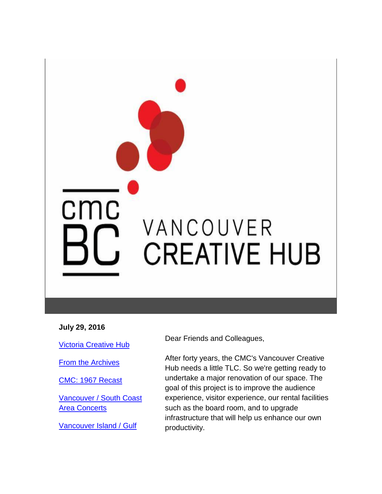# cmc VANCOUVER **CREATIVE HUB**

#### **July 29, 2016**

[Victoria Creative Hub](https://mail.google.com/mail/u/0/?ui=2&ik=9dcefaf5b7&view=lg&msg=1563771e1fe3466a#m_4759038973393902575_LETTER.BLOCK149)

**[From the Archives](https://mail.google.com/mail/u/0/?ui=2&ik=9dcefaf5b7&view=lg&msg=1563771e1fe3466a#m_4759038973393902575_LETTER.BLOCK147)** 

[CMC: 1967 Recast](https://mail.google.com/mail/u/0/?ui=2&ik=9dcefaf5b7&view=lg&msg=1563771e1fe3466a#m_4759038973393902575_LETTER.BLOCK151)

[Vancouver / South Coast](https://mail.google.com/mail/u/0/?ui=2&ik=9dcefaf5b7&view=lg&msg=1563771e1fe3466a#m_4759038973393902575_LETTER.BLOCK17)  **[Area Concerts](https://mail.google.com/mail/u/0/?ui=2&ik=9dcefaf5b7&view=lg&msg=1563771e1fe3466a#m_4759038973393902575_LETTER.BLOCK17)** 

[Vancouver Island / Gulf](https://mail.google.com/mail/u/0/?ui=2&ik=9dcefaf5b7&view=lg&msg=1563771e1fe3466a#m_4759038973393902575_LETTER.BLOCK19) 

Dear Friends and Colleagues,

After forty years, the CMC's Vancouver Creative Hub needs a little TLC. So we're getting ready to undertake a major renovation of our space. The goal of this project is to improve the audience experience, visitor experience, our rental facilities such as the board room, and to upgrade infrastructure that will help us enhance our own productivity.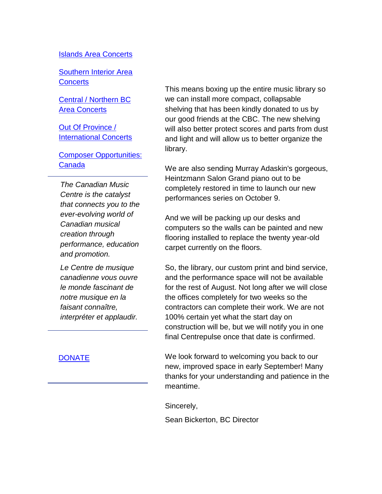#### [Islands Area Concerts](https://mail.google.com/mail/u/0/?ui=2&ik=9dcefaf5b7&view=lg&msg=1563771e1fe3466a#m_4759038973393902575_LETTER.BLOCK19)

[Southern Interior Area](https://mail.google.com/mail/u/0/?ui=2&ik=9dcefaf5b7&view=lg&msg=1563771e1fe3466a#m_4759038973393902575_LETTER.BLOCK21)  **[Concerts](https://mail.google.com/mail/u/0/?ui=2&ik=9dcefaf5b7&view=lg&msg=1563771e1fe3466a#m_4759038973393902575_LETTER.BLOCK21)** 

[Central / Northern BC](https://mail.google.com/mail/u/0/?ui=2&ik=9dcefaf5b7&view=lg&msg=1563771e1fe3466a#m_4759038973393902575_LETTER.BLOCK23)  [Area Concerts](https://mail.google.com/mail/u/0/?ui=2&ik=9dcefaf5b7&view=lg&msg=1563771e1fe3466a#m_4759038973393902575_LETTER.BLOCK23)

[Out Of Province /](https://mail.google.com/mail/u/0/?ui=2&ik=9dcefaf5b7&view=lg&msg=1563771e1fe3466a#m_4759038973393902575_LETTER.BLOCK25)  [International Concerts](https://mail.google.com/mail/u/0/?ui=2&ik=9dcefaf5b7&view=lg&msg=1563771e1fe3466a#m_4759038973393902575_LETTER.BLOCK25)

[Composer Opportunities:](https://mail.google.com/mail/u/0/?ui=2&ik=9dcefaf5b7&view=lg&msg=1563771e1fe3466a#m_4759038973393902575_LETTER.BLOCK27)  [Canada](https://mail.google.com/mail/u/0/?ui=2&ik=9dcefaf5b7&view=lg&msg=1563771e1fe3466a#m_4759038973393902575_LETTER.BLOCK27)

*The Canadian Music Centre is the catalyst that connects you to the ever-evolving world of Canadian musical creation through performance, education and promotion.* 

*Le Centre de musique canadienne vous ouvre le monde fascinant de notre musique en la faisant connaître, interpréter et applaudir.*

[DONATE](http://r20.rs6.net/tn.jsp?f=001L32XprImvdnfra45lniewLmA0XCfxVxf2Z-w9zuRGH7Dyq74i1dyXiCQDBEaL8ricD4iUJjtjMvpLSGRq6EarkrdwA0lBb5-PZpm1qR3ywwfFvDHKzgLebUdCY15OusaEuWUpUTJEDExE5XYLgEZQ9rrjAis4Y-OXGx7ATAuGfWj0QQnJM_sFuvHnVGlocrmcJI6Aaxf-oXs83ZMdPiEOx-Hi4aw33ThZweSKNCf0aG_LVex3iL_KRiZk3UT4Yk_o1Yp1To0ffGiFTtdc9XtcsIDAjvSeQteO_t4bd1BRpsoCIoKfldrBFYhUM-ggrTwjpolznmYwKHd60f9Eq-7DgWQTctUg2fHi_-QYQ8asEI=&c=7_E537nQefR8JTczxirQIfrOHjhhfdCy3JaJJywrj8XAJuRbqbhEXw==&ch=6mJfS4g1m_wyEyyLXCyQfYRx51c28mjgwf4li_y51O6maLwHg17j-g==)

This means boxing up the entire music library so we can install more compact, collapsable shelving that has been kindly donated to us by our good friends at the CBC. The new shelving will also better protect scores and parts from dust and light and will allow us to better organize the library.

We are also sending Murray Adaskin's gorgeous, Heintzmann Salon Grand piano out to be completely restored in time to launch our new performances series on October 9.

And we will be packing up our desks and computers so the walls can be painted and new flooring installed to replace the twenty year-old carpet currently on the floors.

So, the library, our custom print and bind service, and the performance space will not be available for the rest of August. Not long after we will close the offices completely for two weeks so the contractors can complete their work. We are not 100% certain yet what the start day on construction will be, but we will notify you in one final Centrepulse once that date is confirmed.

We look forward to welcoming you back to our new, improved space in early September! Many thanks for your understanding and patience in the meantime.

Sincerely,

Sean Bickerton, BC Director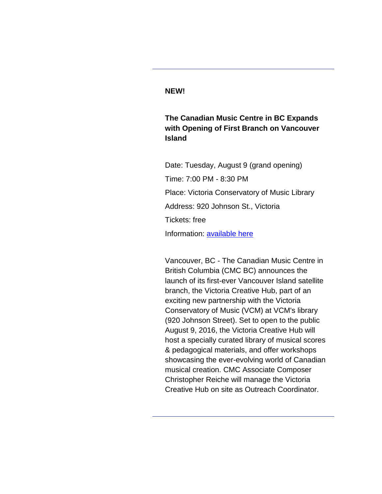#### **NEW!**

**The Canadian Music Centre in BC Expands with Opening of First Branch on Vancouver Island**

Date: Tuesday, August 9 (grand opening) Time: 7:00 PM - 8:30 PM Place: Victoria Conservatory of Music Library Address: 920 Johnson St., Victoria Tickets: free Information: [available here](http://r20.rs6.net/tn.jsp?f=001L32XprImvdnfra45lniewLmA0XCfxVxf2Z-w9zuRGH7Dyq74i1dyXuu0Uk8ANJJcdqtIZI57-NGCWPhkHd9WSlSZ9UI6roc1PPpPpx6YiG55AvYBxvr7cx9qH72pFF7HE-Kwq3aSfOIlHDkdzN-51BBUxqOs1a6e6COBoHEsVcVkRKpzdCtB-PVYuxS27lmZZv3PboLZEo98f7emQhtK6NBkjeUh-TdhAfMDv1zo03O5ZgjD9nSAUcpqc16yQH4eM24BL-wBVj5zz1kdj41fePXaiCIQNtTskfYPGdcVjJx-B_9O0YKgA07z2b8qcEZD&c=7_E537nQefR8JTczxirQIfrOHjhhfdCy3JaJJywrj8XAJuRbqbhEXw==&ch=6mJfS4g1m_wyEyyLXCyQfYRx51c28mjgwf4li_y51O6maLwHg17j-g==)

Vancouver, BC - The Canadian Music Centre in British Columbia (CMC BC) announces the launch of its first-ever Vancouver Island satellite branch, the Victoria Creative Hub, part of an exciting new partnership with the Victoria Conservatory of Music (VCM) at VCM's library (920 Johnson Street). Set to open to the public August 9, 2016, the Victoria Creative Hub will host a specially curated library of musical scores & pedagogical materials, and offer workshops showcasing the ever-evolving world of Canadian musical creation. CMC Associate Composer Christopher Reiche will manage the Victoria Creative Hub on site as Outreach Coordinator.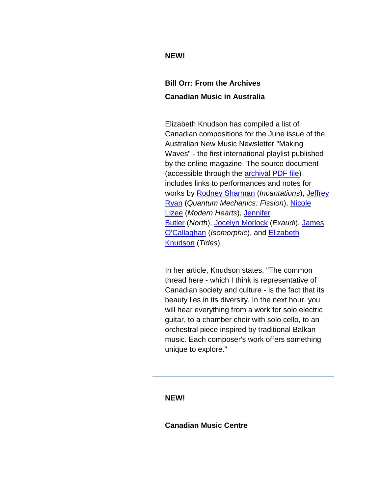## **NEW!**

# **Bill Orr: From the Archives Canadian Music in Australia**

Elizabeth Knudson has compiled a list of Canadian compositions for the June issue of the Australian New Music Newsletter "Making Waves" - the first international playlist published by the online magazine. The source document (accessible through the [archival PDF file\)](http://r20.rs6.net/tn.jsp?f=001L32XprImvdnfra45lniewLmA0XCfxVxf2Z-w9zuRGH7Dyq74i1dyXuu0Uk8ANJJcBMRDupXs32muBG7bLyvZ2Akn9mlpSNar1En4TRJKngmF5CT8yZlxfw2rtqggHhZLvmLvkmbEB_DXahm8nSgA_acudJGyb1gUtPqJURQ5o4D81zWhrjSZOeKdf2AbC5Ysd3Ad2royowcCQkW1zl3YxYAKnTm7O0tAKmfiI_BRIq745e3f_9j__UQSosa-RHikWjh8tFbNeHt6RBb7oDFPlUCGp6Rixrh0MU6hwggGfoGyagmGLQnikrcwPwhAAc5rxSeoQM-CJqydBcNQoZJzaA==&c=7_E537nQefR8JTczxirQIfrOHjhhfdCy3JaJJywrj8XAJuRbqbhEXw==&ch=6mJfS4g1m_wyEyyLXCyQfYRx51c28mjgwf4li_y51O6maLwHg17j-g==) includes links to performances and notes for works by [Rodney Sharman](http://r20.rs6.net/tn.jsp?f=001L32XprImvdnfra45lniewLmA0XCfxVxf2Z-w9zuRGH7Dyq74i1dyXj0nCHWMRiqLoraQ_CXXidw-ecx12IRVsqhtfetm54-m4DuHrcPtMwNBGnm9Pm_sWhmOny6UdyohHLmoIsZgB2knaIWJH6J52BgvFDOYgKkuv_Ym-NmJfG38Lr2tCH85yl_cR2ReKrSlw-y4-lyW7le5Sj7_Ws0qX24hUiNQNJ4TFiksDAMFuE5bxr25xE3Di9uQQoj2ORFrIy2q8Ac1rb8Qel0RCjLsa2TVOIKeupKQIg5vzLhFrIzUhGKB_f-EteB5gwnc6eAC5Qn0bsDhd-g=&c=7_E537nQefR8JTczxirQIfrOHjhhfdCy3JaJJywrj8XAJuRbqbhEXw==&ch=6mJfS4g1m_wyEyyLXCyQfYRx51c28mjgwf4li_y51O6maLwHg17j-g==) (*Incantations*), [Jeffrey](http://r20.rs6.net/tn.jsp?f=001L32XprImvdnfra45lniewLmA0XCfxVxf2Z-w9zuRGH7Dyq74i1dyXqJw_P1euLEOE1cMm97U6uCLUP6CR4xFLqu6aBHcMRuO3goX64m4NdrYfy5hIHqq4x7PAAKzjBXhjZh41rJ5u9SqICq6M3UokWq_Qgmh02ka0pugUjxpVQKqIo0oXfrNv8Qd8B2vMtO2WOc_JZPERyDh47ONz-lEKGErsQ-pORxx0YZ9sXhPiukY-3LdH-d2JIxi8qNqdYMRe4cVUiUKhCGcFlH2zY71bUVuAIiZ739EGM6OMczSGIPQCaCpUyEQUk03EfzlLFjaRF9i-9EU7P0=&c=7_E537nQefR8JTczxirQIfrOHjhhfdCy3JaJJywrj8XAJuRbqbhEXw==&ch=6mJfS4g1m_wyEyyLXCyQfYRx51c28mjgwf4li_y51O6maLwHg17j-g==)  [Ryan](http://r20.rs6.net/tn.jsp?f=001L32XprImvdnfra45lniewLmA0XCfxVxf2Z-w9zuRGH7Dyq74i1dyXqJw_P1euLEOE1cMm97U6uCLUP6CR4xFLqu6aBHcMRuO3goX64m4NdrYfy5hIHqq4x7PAAKzjBXhjZh41rJ5u9SqICq6M3UokWq_Qgmh02ka0pugUjxpVQKqIo0oXfrNv8Qd8B2vMtO2WOc_JZPERyDh47ONz-lEKGErsQ-pORxx0YZ9sXhPiukY-3LdH-d2JIxi8qNqdYMRe4cVUiUKhCGcFlH2zY71bUVuAIiZ739EGM6OMczSGIPQCaCpUyEQUk03EfzlLFjaRF9i-9EU7P0=&c=7_E537nQefR8JTczxirQIfrOHjhhfdCy3JaJJywrj8XAJuRbqbhEXw==&ch=6mJfS4g1m_wyEyyLXCyQfYRx51c28mjgwf4li_y51O6maLwHg17j-g==) (*Quantum Mechanics: Fission*), [Nicole](http://r20.rs6.net/tn.jsp?f=001L32XprImvdnfra45lniewLmA0XCfxVxf2Z-w9zuRGH7Dyq74i1dyXogTDhNe_UzZGvZu7kMgG3YhdyGFa8uFPX2lf9qstvWepWajvRG5TuX8a_isuydyBWz-g0JXTaS0dKzA-FI8g_I8Z3j604Te1OunqgwicIJVzYQYmbAvUjqG0GGV6enEUZ5ZUr4H8KxKR1jiswmOSQrlLHOSyMdsF0aGIWev-sOPulB78N8FoVsq_GU9xOGyvwMxbKPBH9V2KJAvYn8nz-Eqw5mc_VrMUejaiAsLM6Hm_j2nUC7PWJGaSHBRv_V7j8M53h2yAV8NKtDOMX6JwNU=&c=7_E537nQefR8JTczxirQIfrOHjhhfdCy3JaJJywrj8XAJuRbqbhEXw==&ch=6mJfS4g1m_wyEyyLXCyQfYRx51c28mjgwf4li_y51O6maLwHg17j-g==)  [Lizee](http://r20.rs6.net/tn.jsp?f=001L32XprImvdnfra45lniewLmA0XCfxVxf2Z-w9zuRGH7Dyq74i1dyXogTDhNe_UzZGvZu7kMgG3YhdyGFa8uFPX2lf9qstvWepWajvRG5TuX8a_isuydyBWz-g0JXTaS0dKzA-FI8g_I8Z3j604Te1OunqgwicIJVzYQYmbAvUjqG0GGV6enEUZ5ZUr4H8KxKR1jiswmOSQrlLHOSyMdsF0aGIWev-sOPulB78N8FoVsq_GU9xOGyvwMxbKPBH9V2KJAvYn8nz-Eqw5mc_VrMUejaiAsLM6Hm_j2nUC7PWJGaSHBRv_V7j8M53h2yAV8NKtDOMX6JwNU=&c=7_E537nQefR8JTczxirQIfrOHjhhfdCy3JaJJywrj8XAJuRbqbhEXw==&ch=6mJfS4g1m_wyEyyLXCyQfYRx51c28mjgwf4li_y51O6maLwHg17j-g==) (*Modern Hearts*), [Jennifer](http://r20.rs6.net/tn.jsp?f=001L32XprImvdnfra45lniewLmA0XCfxVxf2Z-w9zuRGH7Dyq74i1dyXvgDbLlmCQ_p_YhngDjM0b1J6eorzPwup0VBCcq0qKzVVp78P3VfBLJgRUlAToFApQYEp9wLtPCX-KbbiB0BTIi7Re_kDrS2e9N_ER6zzr94_2SxNOIIk4Atgy-24Dq4D6uurFUXDz6SMFWiqg7nBiy3iovVM-i7OVKQ8rgs5O17uaCyOrLJiLdGRmdd_z_HTr6zXW6qzqrPI5hImJY7_6e1HiV7_b2296o_FEV-2_QS00XuHwnV7VLlA9Bchobx1ELUhvlqkyVDBDsm_7em4_g=&c=7_E537nQefR8JTczxirQIfrOHjhhfdCy3JaJJywrj8XAJuRbqbhEXw==&ch=6mJfS4g1m_wyEyyLXCyQfYRx51c28mjgwf4li_y51O6maLwHg17j-g==)  [Butler](http://r20.rs6.net/tn.jsp?f=001L32XprImvdnfra45lniewLmA0XCfxVxf2Z-w9zuRGH7Dyq74i1dyXvgDbLlmCQ_p_YhngDjM0b1J6eorzPwup0VBCcq0qKzVVp78P3VfBLJgRUlAToFApQYEp9wLtPCX-KbbiB0BTIi7Re_kDrS2e9N_ER6zzr94_2SxNOIIk4Atgy-24Dq4D6uurFUXDz6SMFWiqg7nBiy3iovVM-i7OVKQ8rgs5O17uaCyOrLJiLdGRmdd_z_HTr6zXW6qzqrPI5hImJY7_6e1HiV7_b2296o_FEV-2_QS00XuHwnV7VLlA9Bchobx1ELUhvlqkyVDBDsm_7em4_g=&c=7_E537nQefR8JTczxirQIfrOHjhhfdCy3JaJJywrj8XAJuRbqbhEXw==&ch=6mJfS4g1m_wyEyyLXCyQfYRx51c28mjgwf4li_y51O6maLwHg17j-g==) (*North*), [Jocelyn Morlock](http://r20.rs6.net/tn.jsp?f=001L32XprImvdnfra45lniewLmA0XCfxVxf2Z-w9zuRGH7Dyq74i1dyXhCbFKt05UtxI99hER8yAue9zyQiINfLIAcF9Q1VEm0j0MrM7BWc7R7XX-TkWtXUoThT3uZFqlIJMarAT5fj4FBNkU9zobMSBEcitTwnC-IsCMNNG4l2TjRtZqPOrr1BD6PmtV4gYUqNSsj8Zff2HG7e3VQPlkX8OER_cC6qpKPuITJg9yEoAVh1FGzlRUzs1ptxooD-yuy3ibeNZHHks5YQnJqRXCJO90fY7fz4tW0KB-DVRfhZMfnwyjjJZrB_aM_6eHCkQCRFvOsX3tM9AxA=&c=7_E537nQefR8JTczxirQIfrOHjhhfdCy3JaJJywrj8XAJuRbqbhEXw==&ch=6mJfS4g1m_wyEyyLXCyQfYRx51c28mjgwf4li_y51O6maLwHg17j-g==) (*Exaudi*), [James](http://r20.rs6.net/tn.jsp?f=001L32XprImvdnfra45lniewLmA0XCfxVxf2Z-w9zuRGH7Dyq74i1dyXolWEoRSITQiyN_x6qK7Qp45gnsGQxGN7kHEgwE9X6OTGPjGRdi5ET_e9fUHMgmLQLQZEeQE-T4TVkNllRiyf6by7aq9BK1tpPLPmVSSjOr3HHcXwD5RK_GL3AoU9wHJ-0oRZ1Xk7C-IkXGGN2yOzn1b5PLNb-hrVZ9Zir-o727QTTpEaSViQPhGbE6lKzoYc2ptfyW-TTjokvR4I-6OJ29lpKX88gF3HC9myBvGZC_opuFILE3MwmVDWGLCHd13SzBvQLA7P2xK8vO5UnzTZ3jOmZxKiXocIQ==&c=7_E537nQefR8JTczxirQIfrOHjhhfdCy3JaJJywrj8XAJuRbqbhEXw==&ch=6mJfS4g1m_wyEyyLXCyQfYRx51c28mjgwf4li_y51O6maLwHg17j-g==)  [O'Callaghan](http://r20.rs6.net/tn.jsp?f=001L32XprImvdnfra45lniewLmA0XCfxVxf2Z-w9zuRGH7Dyq74i1dyXolWEoRSITQiyN_x6qK7Qp45gnsGQxGN7kHEgwE9X6OTGPjGRdi5ET_e9fUHMgmLQLQZEeQE-T4TVkNllRiyf6by7aq9BK1tpPLPmVSSjOr3HHcXwD5RK_GL3AoU9wHJ-0oRZ1Xk7C-IkXGGN2yOzn1b5PLNb-hrVZ9Zir-o727QTTpEaSViQPhGbE6lKzoYc2ptfyW-TTjokvR4I-6OJ29lpKX88gF3HC9myBvGZC_opuFILE3MwmVDWGLCHd13SzBvQLA7P2xK8vO5UnzTZ3jOmZxKiXocIQ==&c=7_E537nQefR8JTczxirQIfrOHjhhfdCy3JaJJywrj8XAJuRbqbhEXw==&ch=6mJfS4g1m_wyEyyLXCyQfYRx51c28mjgwf4li_y51O6maLwHg17j-g==) (*Isomorphic*), and [Elizabeth](http://r20.rs6.net/tn.jsp?f=001L32XprImvdnfra45lniewLmA0XCfxVxf2Z-w9zuRGH7Dyq74i1dyXqJw_P1euLEO7_AH_sqOlQvK8Jq_ELJL9p-XJ-joTl_4ydTsdG_L5Tf0VAGx178_fK4zx7BeXwSegIGYjfQcpG_Xw8CxUjHqKGjNW7Al7ZJ7uqlLu_RfCFHpfZmOf9K7UxPyMqoc6DjpymaYCtGTyNGHY9aMoFxvXgKyGN6CYNATxE642-j1ZVs63gtYp9My_psqAj5hZbrbA1tUF7iidsY8okpC7JMqatPvPYImxtvCzaiuTCa5Asa7hJsbJc61aOJ5X3Dy8sTyToxnl6Q1KkE=&c=7_E537nQefR8JTczxirQIfrOHjhhfdCy3JaJJywrj8XAJuRbqbhEXw==&ch=6mJfS4g1m_wyEyyLXCyQfYRx51c28mjgwf4li_y51O6maLwHg17j-g==)  [Knudson](http://r20.rs6.net/tn.jsp?f=001L32XprImvdnfra45lniewLmA0XCfxVxf2Z-w9zuRGH7Dyq74i1dyXqJw_P1euLEO7_AH_sqOlQvK8Jq_ELJL9p-XJ-joTl_4ydTsdG_L5Tf0VAGx178_fK4zx7BeXwSegIGYjfQcpG_Xw8CxUjHqKGjNW7Al7ZJ7uqlLu_RfCFHpfZmOf9K7UxPyMqoc6DjpymaYCtGTyNGHY9aMoFxvXgKyGN6CYNATxE642-j1ZVs63gtYp9My_psqAj5hZbrbA1tUF7iidsY8okpC7JMqatPvPYImxtvCzaiuTCa5Asa7hJsbJc61aOJ5X3Dy8sTyToxnl6Q1KkE=&c=7_E537nQefR8JTczxirQIfrOHjhhfdCy3JaJJywrj8XAJuRbqbhEXw==&ch=6mJfS4g1m_wyEyyLXCyQfYRx51c28mjgwf4li_y51O6maLwHg17j-g==) (*Tides*).

In her article, Knudson states, "The common thread here - which I think is representative of Canadian society and culture - is the fact that its beauty lies in its diversity. In the next hour, you will hear everything from a work for solo electric guitar, to a chamber choir with solo cello, to an orchestral piece inspired by traditional Balkan music. Each composer's work offers something unique to explore."

**NEW!**

**Canadian Music Centre**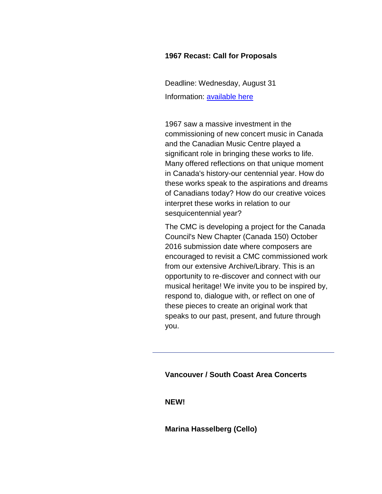#### **1967 Recast: Call for Proposals**

Deadline: Wednesday, August 31 Information: [available here](http://r20.rs6.net/tn.jsp?f=001L32XprImvdnfra45lniewLmA0XCfxVxf2Z-w9zuRGH7Dyq74i1dyXuu0Uk8ANJJchJyvwYSx0EaJsn0-WqWbVAsRil2-jMgUmWzyBsjpHUn-3d4_LdFENSHLbY8K2jttJSCoDc3bR5ywZPQ6Akk-IBUIiXHwjTZmkkUk7tWcIbWI7Q-MA4WWB0WpUcRofsEMK_Po7bREFRADsLq4VX2S5r01eEWmY1MR66eDMLiCzDYeNLYDxy-Tb75rnxHi1W4JiuVNkVEGuHOYQmc8pCJjX5SqxR1uAInT_WzmzJaFrZhz0oVbovHfHOvsHb-zQhGe&c=7_E537nQefR8JTczxirQIfrOHjhhfdCy3JaJJywrj8XAJuRbqbhEXw==&ch=6mJfS4g1m_wyEyyLXCyQfYRx51c28mjgwf4li_y51O6maLwHg17j-g==)

1967 saw a massive investment in the commissioning of new concert music in Canada and the Canadian Music Centre played a significant role in bringing these works to life. Many offered reflections on that unique moment in Canada's history-our centennial year. How do these works speak to the aspirations and dreams of Canadians today? How do our creative voices interpret these works in relation to our sesquicentennial year?

The CMC is developing a project for the Canada Council's New Chapter (Canada 150) October 2016 submission date where composers are encouraged to revisit a CMC commissioned work from our extensive Archive/Library. This is an opportunity to re-discover and connect with our musical heritage! We invite you to be inspired by, respond to, dialogue with, or reflect on one of these pieces to create an original work that speaks to our past, present, and future through you.

**Vancouver / South Coast Area Concerts**

**NEW!**

**Marina Hasselberg (Cello)**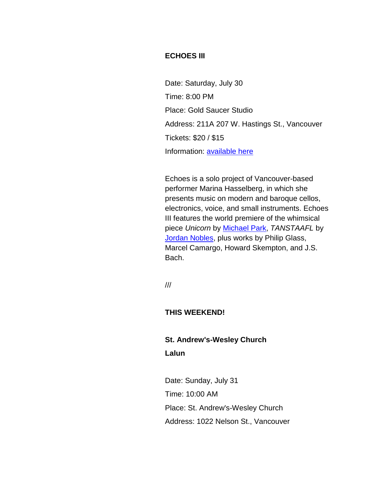## **ECHOES III**

Date: Saturday, July 30 Time: 8:00 PM Place: Gold Saucer Studio Address: 211A 207 W. Hastings St., Vancouver Tickets: \$20 / \$15 Information: [available here](http://r20.rs6.net/tn.jsp?f=001L32XprImvdnfra45lniewLmA0XCfxVxf2Z-w9zuRGH7Dyq74i1dyXuu0Uk8ANJJcnCBuPSpiSDxtsqU8p3v91-chV-sF1eiaOeL4PtOUBkMHxcJ6ynuVEK9S12Kv0eXiwfuuv-p_RkZfVo1DoMGJnLSmyp37q2ESif5zLc74U_3VcXgOYu0vBHTF2RY5GcbajdYh46RucR0dKZ3t_NWrNiSXrU5hhx3jkW6YSd5_EQ14k3-BV94neK0etlCzpjGCuOTNZEOTf44JWC1JtvJ3yHkAmf6oOvbAUA2NpQjjH4g=&c=7_E537nQefR8JTczxirQIfrOHjhhfdCy3JaJJywrj8XAJuRbqbhEXw==&ch=6mJfS4g1m_wyEyyLXCyQfYRx51c28mjgwf4li_y51O6maLwHg17j-g==)

Echoes is a solo project of Vancouver-based performer Marina Hasselberg, in which she presents music on modern and baroque cellos, electronics, voice, and small instruments. Echoes III features the world premiere of the whimsical piece *Unicorn* by [Michael Park,](http://r20.rs6.net/tn.jsp?f=001L32XprImvdnfra45lniewLmA0XCfxVxf2Z-w9zuRGH7Dyq74i1dyXhCbFKt05Utxe_zC1D4FSKksAQduOkqjMJWzfVs1NpRodhJIhGt1SWZqRrQc4JIh6hohD7rlw9hSAfD-O8U5P-U6tnfqw2xmQVmYKRgA8jd-aRsUcJz8pwCD_g3MWB3gkiT-05tVKqaPeXjkdAKvLnZ9JCF_B9fqOmb2zPL_KdzYy69gTINy_dhexWYJUdMcVBgcqL9W0Qlaf9py990E9rEqGH_TUZYfMwUd5JNt-MZvybqD0YlTMWMSFdI-O8_YvrD_UbSnbqPi5keTfIlq42k=&c=7_E537nQefR8JTczxirQIfrOHjhhfdCy3JaJJywrj8XAJuRbqbhEXw==&ch=6mJfS4g1m_wyEyyLXCyQfYRx51c28mjgwf4li_y51O6maLwHg17j-g==) *TANSTAAFL* by [Jordan Nobles,](http://r20.rs6.net/tn.jsp?f=001L32XprImvdnfra45lniewLmA0XCfxVxf2Z-w9zuRGH7Dyq74i1dyXhCbFKt05UtxCfuBJn7JwRPoQShHEfQXy_-FkJ3IJGPO0nxX2KspOqaJuHzumXFNaKxg7F9SbvzVnxJNmVF5QL3BRh7h3uPv6ZYlx8X-RSw-LNsfALTgpb357Jslr2EXwqJxV-cUqdcfcp0AY1HSi5E_YKA3XPSjk1bmQ1qGFqEIdGVpd84h6iUUw7rSTlmC7Xixd2m9WqK_HenaupwJkx0viXyvPDMH53yYoNVbJtRV_0IlpgVqJj87Cs0Zd-ICITBZBe5jiH0D4ngWu4-rrrQ=&c=7_E537nQefR8JTczxirQIfrOHjhhfdCy3JaJJywrj8XAJuRbqbhEXw==&ch=6mJfS4g1m_wyEyyLXCyQfYRx51c28mjgwf4li_y51O6maLwHg17j-g==) plus works by Philip Glass, Marcel Camargo, Howard Skempton, and J.S. Bach.

///

#### **THIS WEEKEND!**

## **St. Andrew's-Wesley Church Lalun**

Date: Sunday, July 31 Time: 10:00 AM Place: St. Andrew's-Wesley Church Address: 1022 Nelson St., Vancouver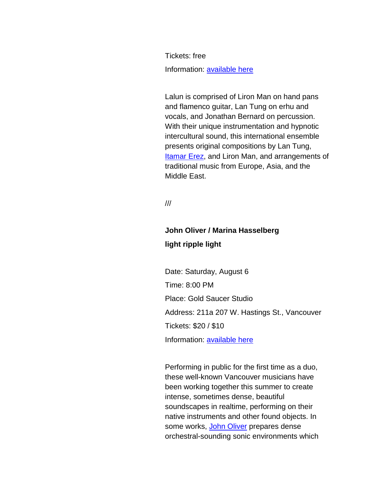Tickets: free Information: [available here](http://r20.rs6.net/tn.jsp?f=001L32XprImvdnfra45lniewLmA0XCfxVxf2Z-w9zuRGH7Dyq74i1dyXtWws7M2Pbc1I0lSHG3wSjXSj3bV-ycpilX50u8LGoyKaOlychAfBZ9e2rWmo4x1VHHUQOCQzxjvuziZt5wXS0MqhkD9CrQk6CA-U-CWO2H4SC4ypYEZejLitRBYNKDFlLsVAY9LsJLetAok_vLSIpGms6qNPIm0jvOwg_UnnRKK1J_arZ5f4keFHjYxYi-7bDTotq2VX453TuE-EBPBTweST0Wg9RK1kZLlyZYjFpDottawzwCTTrEXNJ9YuL-Eeg==&c=7_E537nQefR8JTczxirQIfrOHjhhfdCy3JaJJywrj8XAJuRbqbhEXw==&ch=6mJfS4g1m_wyEyyLXCyQfYRx51c28mjgwf4li_y51O6maLwHg17j-g==)

Lalun is comprised of Liron Man on hand pans and flamenco guitar, Lan Tung on erhu and vocals, and Jonathan Bernard on percussion. With their unique instrumentation and hypnotic intercultural sound, this international ensemble presents original compositions by Lan Tung, [Itamar Erez,](http://r20.rs6.net/tn.jsp?f=001L32XprImvdnfra45lniewLmA0XCfxVxf2Z-w9zuRGH7Dyq74i1dyXvxmRdPWdK0ZzJ8l3Tabltg42jjbvm0MxfeKTvBwuKC30og5RgHk6eguMArZ5mtahz0Z191JEYEkaSfTCtWPri7UgReOBPRpSFgx2cBDZO3cfrL3lj_CSbUTZ9EpysiBAnNnmECHb2vgTnKx1q8L5LcIk73Z7VPDUiY5KAcDU7AwRkzv7ouwjuPNNUJ_lyWczKdxB5x8RTJBing-Z525SSi3Z2C8H85PEGPKEeamrYi93qtfa7Gzy_VR7nsIqobrSQ27iI_KmheKfLr0vuYv5UI=&c=7_E537nQefR8JTczxirQIfrOHjhhfdCy3JaJJywrj8XAJuRbqbhEXw==&ch=6mJfS4g1m_wyEyyLXCyQfYRx51c28mjgwf4li_y51O6maLwHg17j-g==) and Liron Man, and arrangements of traditional music from Europe, Asia, and the Middle East.

///

# **John Oliver / Marina Hasselberg light ripple light**

Date: Saturday, August 6 Time: 8:00 PM Place: Gold Saucer Studio Address: 211a 207 W. Hastings St., Vancouver Tickets: \$20 / \$10 Information: [available here](http://r20.rs6.net/tn.jsp?f=001L32XprImvdnfra45lniewLmA0XCfxVxf2Z-w9zuRGH7Dyq74i1dyXjVdI1kJ9XUanJtnuGGLkiPy9xiw3zndKTzY0ibiTG9A5EZ6L0HSfBfzVYUeZeMHbEcoShX6rUpRnrjVG-nPc4fMQ1AucKRD9yDcffCXhJHsOAVfZrCQ6uThr-FRniIIDIsCMxz0_SdmU3s7bHf8uPt3wezIIClLLe9vXGm2F0IP260j57LS3FCIav2hBYph6ww0fZ7mkH370U35ZZVsKu_HJtQi7WW1yS3MmbOLt6rj_FEEZe9oQIjrJG93VL428LDE_OgpLwdAqnzgmiQtLns=&c=7_E537nQefR8JTczxirQIfrOHjhhfdCy3JaJJywrj8XAJuRbqbhEXw==&ch=6mJfS4g1m_wyEyyLXCyQfYRx51c28mjgwf4li_y51O6maLwHg17j-g==)

Performing in public for the first time as a duo, these well-known Vancouver musicians have been working together this summer to create intense, sometimes dense, beautiful soundscapes in realtime, performing on their native instruments and other found objects. In some works, [John Oliver](http://r20.rs6.net/tn.jsp?f=001L32XprImvdnfra45lniewLmA0XCfxVxf2Z-w9zuRGH7Dyq74i1dyXqFXrb3mK50TSp8ZZJxMxR28iH0TyXtqgf5bDQO83HKG1oHMDFbEP0h5WFc_BfFCCydZOsXc0O9O0nWyOzGfsoUhnnkOlq1kyQxrC7ejE4ZGX11CmhGSID_k2hVx54s4Kt4riS6ZhBDroi3CLkJwjzayH5w2dzDbKx54OHxdsNIqebo3jTRty21eaMP8KFQD2tLrTJfpDAq_qy_bpToItW1o0qWs_XRf9GQx1DhOVDXkpRakdYotARDZu5RBOgLlbTGk6_gJ-JIILsix7TY7ls4=&c=7_E537nQefR8JTczxirQIfrOHjhhfdCy3JaJJywrj8XAJuRbqbhEXw==&ch=6mJfS4g1m_wyEyyLXCyQfYRx51c28mjgwf4li_y51O6maLwHg17j-g==) prepares dense orchestral-sounding sonic environments which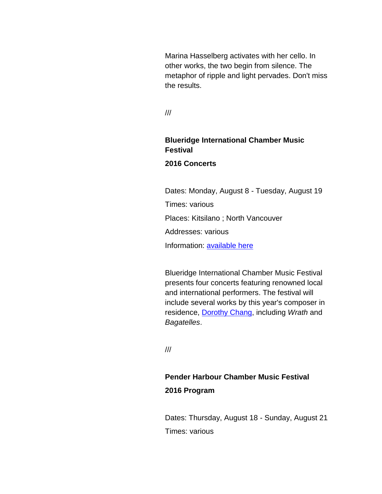Marina Hasselberg activates with her cello. In other works, the two begin from silence. The metaphor of ripple and light pervades. Don't miss the results.

///

## **Blueridge International Chamber Music Festival 2016 Concerts**

Dates: Monday, August 8 - Tuesday, August 19 Times: various Places: Kitsilano ; North Vancouver Addresses: various Information: [available here](http://r20.rs6.net/tn.jsp?f=001L32XprImvdnfra45lniewLmA0XCfxVxf2Z-w9zuRGH7Dyq74i1dyXis-0UKWOIM6Ys6ha-8EnKAddo-ZBmRdsVvZ3Ksdu1qEwA7ATT4x5s4iSuFSgB56KGFVpWjXXZsI0oDQQ-e1lNF8IGLZ0TZ0my5CUirjp206a0GqYDdpG9DzRe4bZXw7Q8vs5NIZFjFD660O5DpLi1nCIDgxwfcC1iADFy-OWFhXABpdLe8gxlhAbrQ08s07PuhjT2jRhY2JH6l1zLAsWYPViL3nPonF6x6-dKlwmWZap88XMwxLOyi4TLrSb62I_KCBnZegLci6t5602bJvMxI=&c=7_E537nQefR8JTczxirQIfrOHjhhfdCy3JaJJywrj8XAJuRbqbhEXw==&ch=6mJfS4g1m_wyEyyLXCyQfYRx51c28mjgwf4li_y51O6maLwHg17j-g==)

Blueridge International Chamber Music Festival presents four concerts featuring renowned local and international performers. The festival will include several works by this year's composer in residence, [Dorothy Chang,](http://r20.rs6.net/tn.jsp?f=001L32XprImvdnfra45lniewLmA0XCfxVxf2Z-w9zuRGH7Dyq74i1dyXhCbFKt05UtxsDJs41nvwvKGeyNd-xhRgvRwcq83CuvDOi5hk6yN1FZ9oWRXoTbPx9LaU-Uj31VCZ8bZ5TiXEM6V6VgtOUPZnWTjui1dQ6I8wb_drF1LKexDs1zfF7bJnLrFQ9uxjKdXQjalVKPgRE7iNfuY6esHgWWxmgnM8z67yOFaNEZbx1cqRecoOf3UfXF38MUZYD2BsGco5Au8sNDByzngEkG-4ZnfaQm_xoiqDLtHz_PqlxlzFfhhWPD99ygpatzzHlnv4UtXvsoHEAY=&c=7_E537nQefR8JTczxirQIfrOHjhhfdCy3JaJJywrj8XAJuRbqbhEXw==&ch=6mJfS4g1m_wyEyyLXCyQfYRx51c28mjgwf4li_y51O6maLwHg17j-g==) including *Wrath* and *Bagatelles*.

///

# **Pender Harbour Chamber Music Festival 2016 Program**

Dates: Thursday, August 18 - Sunday, August 21 Times: various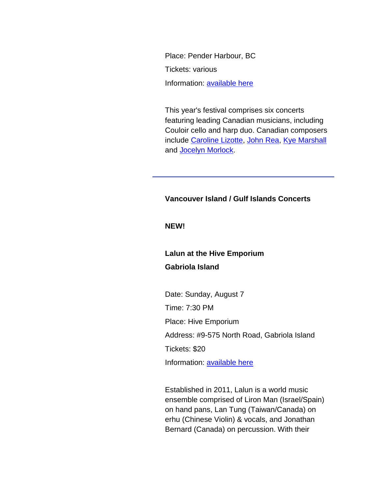Place: Pender Harbour, BC Tickets: various Information: [available here](http://r20.rs6.net/tn.jsp?f=001L32XprImvdnfra45lniewLmA0XCfxVxf2Z-w9zuRGH7Dyq74i1dyXjVdI1kJ9XUanwkU9bQpNDAgunOfWAnSpHib5xaLuWPD1_NyxpipTBpp4ynTT54QVLdZNcmoDCMXPFBGjyJwg2PgL7soI9TAiqk_tsazglMMkLSdwkKxk_DCC_td3-2eQNYw5KsQAv_PfDLjW0ymgHotjQ3E8kFgl3OZUuani8oXR-9XIsfCE16bQAvvbnh1uqEEuwCMN_0CJ9Sqh0866DFQwkIf8MOisio226i7voXOmUGICui8jFxLiMrS4cZR_cdySG7h2DriNNTzJAC6E2YnNzxiK8cBCUzyR-oIlf5GPVfZMBVMXgEcxAzZtDwUOa1xYkUp1-Tp&c=7_E537nQefR8JTczxirQIfrOHjhhfdCy3JaJJywrj8XAJuRbqbhEXw==&ch=6mJfS4g1m_wyEyyLXCyQfYRx51c28mjgwf4li_y51O6maLwHg17j-g==)

This year's festival comprises six concerts featuring leading Canadian musicians, including Couloir cello and harp duo. Canadian composers include [Caroline Lizotte,](http://r20.rs6.net/tn.jsp?f=001L32XprImvdnfra45lniewLmA0XCfxVxf2Z-w9zuRGH7Dyq74i1dyXogTDhNe_UzZ2IWnGQP7RBgEYplkM33C58Ko5p9af0VA005JUEJs6SwKy_q1XVPWzSetBQulkImoCXxDThBGzpmKGYLCdeXn1lC2u5d8joXlGpQM8sq0n7AQCGQ0gWmEbFDof45zGy3nyjeX930JmvhQ1YlT7I_rgSIQbesVFKdxzt4aqnGFQg4W58vzVrBQleXB9-01EEyNDQHcTM_oE0dke_RmqQ1ujbsmNoMxEdSwfx3mNLu_OSt1Cri2qSkeuXopn9Gz6-bfP85Zrui5gyM=&c=7_E537nQefR8JTczxirQIfrOHjhhfdCy3JaJJywrj8XAJuRbqbhEXw==&ch=6mJfS4g1m_wyEyyLXCyQfYRx51c28mjgwf4li_y51O6maLwHg17j-g==) [John Rea,](http://r20.rs6.net/tn.jsp?f=001L32XprImvdnfra45lniewLmA0XCfxVxf2Z-w9zuRGH7Dyq74i1dyXjVdI1kJ9XUah3G4HefPL7bu0BbaYAok_-eSMKLuLkF1cvpTQOqpPNBrPHYuWC4XHqwui4rqCHlFk98irOvN2qzaC4UrWm4Lxl4Ga75a7W44guhNGnKhDl-oBNnhqMLlxK-sj_a_ppClmkNXr2b-C9mFg08_9Yk6KYV5AAD9Fe9j9d7c9WOjy4vVJ6stHTHmnmYRvB9nupnL_o_IYRPsEH_17gqY8Zs4v0LutDXNLI54vNtbUxgcpnZgLiU49Rg7mqCwQWhg2--l0t4D9PvjGFk=&c=7_E537nQefR8JTczxirQIfrOHjhhfdCy3JaJJywrj8XAJuRbqbhEXw==&ch=6mJfS4g1m_wyEyyLXCyQfYRx51c28mjgwf4li_y51O6maLwHg17j-g==) [Kye Marshall](http://r20.rs6.net/tn.jsp?f=001L32XprImvdnfra45lniewLmA0XCfxVxf2Z-w9zuRGH7Dyq74i1dyXjVdI1kJ9XUa5t5_TlN_dyovRYdrfwMCSky0Eomjq8Do3qvKdPwncaj5tcC7Cb4GmPFGxX99vuGKEfFFlq01T1qX9xMDdEyUweE3uwrSGDyJXhHz8mTAf4T29-jlq_8TdGwPiwx7B_OJ6VCsFdkd_Wps2i9cnxxIQjvWqQPyDzIJVQWleWPl66uGG8wDtzKYQuH5tK8y3AVGrAywYE3lJGLTh7GvJHbd-iG7Qfoz6KBprwvoLn_TVCCCxONiEC2kmss2is2GxIPWrsCCkSLzjX4=&c=7_E537nQefR8JTczxirQIfrOHjhhfdCy3JaJJywrj8XAJuRbqbhEXw==&ch=6mJfS4g1m_wyEyyLXCyQfYRx51c28mjgwf4li_y51O6maLwHg17j-g==) and [Jocelyn Morlock.](http://r20.rs6.net/tn.jsp?f=001L32XprImvdnfra45lniewLmA0XCfxVxf2Z-w9zuRGH7Dyq74i1dyXhCbFKt05UtxI99hER8yAue9zyQiINfLIAcF9Q1VEm0j0MrM7BWc7R7XX-TkWtXUoThT3uZFqlIJMarAT5fj4FBNkU9zobMSBEcitTwnC-IsCMNNG4l2TjRtZqPOrr1BD6PmtV4gYUqNSsj8Zff2HG7e3VQPlkX8OER_cC6qpKPuITJg9yEoAVh1FGzlRUzs1ptxooD-yuy3ibeNZHHks5YQnJqRXCJO90fY7fz4tW0KB-DVRfhZMfnwyjjJZrB_aM_6eHCkQCRFvOsX3tM9AxA=&c=7_E537nQefR8JTczxirQIfrOHjhhfdCy3JaJJywrj8XAJuRbqbhEXw==&ch=6mJfS4g1m_wyEyyLXCyQfYRx51c28mjgwf4li_y51O6maLwHg17j-g==)

#### **Vancouver Island / Gulf Islands Concerts**

#### **NEW!**

## **Lalun at the Hive Emporium Gabriola Island**

Date: Sunday, August 7 Time: 7:30 PM Place: Hive Emporium Address: #9-575 North Road, Gabriola Island Tickets: \$20 Information: [available here](http://r20.rs6.net/tn.jsp?f=001L32XprImvdnfra45lniewLmA0XCfxVxf2Z-w9zuRGH7Dyq74i1dyXozo2Nu7VUMzcs8V5_qcNzTZjJRX70s-cSGMhQzxigya5Uph7jtO5hMPLOq5JD8pb2NrU9k394ZDvU7c6iHRLjwTVSEEYQIclVRf2y0H8MTcTctJwmyxiumjkSh7QEs42rDzuJSjt11NBaXaONwhz50AqvLZPxNdiiaD8Ro_oFFJO-aeQ1Fo1oWR_qAii7fhZGv6W5XevYoBsm3ltgd5X7eCUqCwefdz3lmXrZgxJceiLUU9AaTKAGhwWX_T71mDq1qno6LWKdIgwHOYSeUutuM=&c=7_E537nQefR8JTczxirQIfrOHjhhfdCy3JaJJywrj8XAJuRbqbhEXw==&ch=6mJfS4g1m_wyEyyLXCyQfYRx51c28mjgwf4li_y51O6maLwHg17j-g==)

Established in 2011, Lalun is a world music ensemble comprised of Liron Man (Israel/Spain) on hand pans, Lan Tung (Taiwan/Canada) on erhu (Chinese Violin) & vocals, and Jonathan Bernard (Canada) on percussion. With their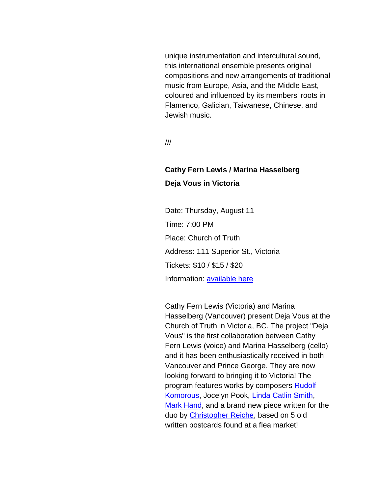unique instrumentation and intercultural sound, this international ensemble presents original compositions and new arrangements of traditional music from Europe, Asia, and the Middle East, coloured and influenced by its members' roots in Flamenco, Galician, Taiwanese, Chinese, and Jewish music.

///

## **Cathy Fern Lewis / Marina Hasselberg Deja Vous in Victoria**

Date: Thursday, August 11 Time: 7:00 PM Place: Church of Truth Address: 111 Superior St., Victoria Tickets: \$10 / \$15 / \$20 Information: [available here](http://r20.rs6.net/tn.jsp?f=001L32XprImvdnfra45lniewLmA0XCfxVxf2Z-w9zuRGH7Dyq74i1dyXuu0Uk8ANJJcZEh4-5mhW-c5tAOGfVSogNk_t8DfAG0yQ3_8zCroJq-GAetuKu9nQGpYXEGtwGKOS4ndGCbZszWEfB7IJg21W-lGyeBTxsnKXtOFmsPxivvnXbTJATmGx9Sjxn_vbsipTPFSvJ4apUpBgZYxRXFDwru6hxPhiIt7yMf7GFgj7B0xDTGwM_65fAajTFVxMX-xdjBgUjPXUj8apinpLSubfUJ7DXaargtMo999Pzjdnzvo84q1UWZQ2g==&c=7_E537nQefR8JTczxirQIfrOHjhhfdCy3JaJJywrj8XAJuRbqbhEXw==&ch=6mJfS4g1m_wyEyyLXCyQfYRx51c28mjgwf4li_y51O6maLwHg17j-g==)

Cathy Fern Lewis (Victoria) and Marina Hasselberg (Vancouver) present Deja Vous at the Church of Truth in Victoria, BC. The project "Deja Vous" is the first collaboration between Cathy Fern Lewis (voice) and Marina Hasselberg (cello) and it has been enthusiastically received in both Vancouver and Prince George. They are now looking forward to bringing it to Victoria! The program features works by composers [Rudolf](http://r20.rs6.net/tn.jsp?f=001L32XprImvdnfra45lniewLmA0XCfxVxf2Z-w9zuRGH7Dyq74i1dyXr9UHevAjB1SGg3ZBLSBMDd40yDKOZqP875pJALa4QVJ6vDiunHe3CIlm-x8wJJGIcWzSsA8Hxg-qPmh_o_BUGEI_GaMwpVl3lg6n7C4mZRuzEZX-O0OZqT16Z5u3Tnc4LAWpKImPbeJRh7Vkwt2kM0fEupYAtD5EyGLAM7J9j0cdqcH15GAYzIu0eB9OgKDlPquv84efwhP9TNbUgQxzDjEfBfAG6PpvAm4Etelp_Ces9OmCXivWFy6MSQRCqYiH-I6yKSbvLCfgQArUuvQe9o=&c=7_E537nQefR8JTczxirQIfrOHjhhfdCy3JaJJywrj8XAJuRbqbhEXw==&ch=6mJfS4g1m_wyEyyLXCyQfYRx51c28mjgwf4li_y51O6maLwHg17j-g==)  [Komorous,](http://r20.rs6.net/tn.jsp?f=001L32XprImvdnfra45lniewLmA0XCfxVxf2Z-w9zuRGH7Dyq74i1dyXr9UHevAjB1SGg3ZBLSBMDd40yDKOZqP875pJALa4QVJ6vDiunHe3CIlm-x8wJJGIcWzSsA8Hxg-qPmh_o_BUGEI_GaMwpVl3lg6n7C4mZRuzEZX-O0OZqT16Z5u3Tnc4LAWpKImPbeJRh7Vkwt2kM0fEupYAtD5EyGLAM7J9j0cdqcH15GAYzIu0eB9OgKDlPquv84efwhP9TNbUgQxzDjEfBfAG6PpvAm4Etelp_Ces9OmCXivWFy6MSQRCqYiH-I6yKSbvLCfgQArUuvQe9o=&c=7_E537nQefR8JTczxirQIfrOHjhhfdCy3JaJJywrj8XAJuRbqbhEXw==&ch=6mJfS4g1m_wyEyyLXCyQfYRx51c28mjgwf4li_y51O6maLwHg17j-g==) Jocelyn Pook, [Linda Catlin Smith,](http://r20.rs6.net/tn.jsp?f=001L32XprImvdnfra45lniewLmA0XCfxVxf2Z-w9zuRGH7Dyq74i1dyXqJw_P1euLEOugh9id5kGdiub8U9eBveH2Wqe3D3la6JNrX23pCwQXUfld6ktzGl_wzRTMainamtN_qYfQgrBrCXeksBYwymQGNkIhJy6WTxyeFSQT4lDKb5ykMColbIKXoIC2urHxter84POOI-0SGo8H0uaXKnM6ToNvgYsDqO7oEHfnKSNJPJ5GoXON2Cjvxm_t6l7db9fse8WgO4h2a2FBPgGoUH6l8eiI96OgUL0YP2H7Hikl2cHIcQJ2mpGS4S6ZJp_y8CXs1TdrIEp9w=&c=7_E537nQefR8JTczxirQIfrOHjhhfdCy3JaJJywrj8XAJuRbqbhEXw==&ch=6mJfS4g1m_wyEyyLXCyQfYRx51c28mjgwf4li_y51O6maLwHg17j-g==) [Mark Hand,](http://r20.rs6.net/tn.jsp?f=001L32XprImvdnfra45lniewLmA0XCfxVxf2Z-w9zuRGH7Dyq74i1dyXgXpmCzcr30ARYNthTk68J7-WpU297w6R28kfGFWJ7l5Fqqm0x82Lc_jkjgWEWa2zpLyXxLFJRcuvPlT08mkYC1BzRnLugyQP9vquXz5oO8f-5SZuENvDRVLA3XAKOi9aIRFv7cBiCzKXYiVdfOcjts4ZaJDargpaZ_ADeSG4cL7RTGCUmr0iAV6QuBoTZNetyc0Wz6CuDOdDzk7xCcWpwrUE6SEnI9NI-tH2KitOuUw-KI-Xlb9EZfiLgJb2B0U9xlH34U6CDDSKWbrlLMD3Rw=&c=7_E537nQefR8JTczxirQIfrOHjhhfdCy3JaJJywrj8XAJuRbqbhEXw==&ch=6mJfS4g1m_wyEyyLXCyQfYRx51c28mjgwf4li_y51O6maLwHg17j-g==) and a brand new piece written for the duo by [Christopher Reiche,](http://r20.rs6.net/tn.jsp?f=001L32XprImvdnfra45lniewLmA0XCfxVxf2Z-w9zuRGH7Dyq74i1dyXhCbFKt05UtxJQYoHIV7T_G2QyuMQ5MfyXpC08bjVZgXgfvaqLciMth9m5G25bULQbfmgmiC0Qa2YFAFlaYSRBXeC3GMyfyB6TUXEdusSnQuI_CuiT3BS8gFnWIhXsZ8SmMurzK8euyYyNbSn784Inqrw8zdIc2AVx2o8t-ceKe6OF8lzaT4EDaGzcnD6z8JhlQ41ichjXfTWX-cYCvmsRVlV6IEirakcD-HSobo_-1lLhYZMPK2RacBXwGp49hpQ5Z6uEr7XewWFaXPhPfH9FU=&c=7_E537nQefR8JTczxirQIfrOHjhhfdCy3JaJJywrj8XAJuRbqbhEXw==&ch=6mJfS4g1m_wyEyyLXCyQfYRx51c28mjgwf4li_y51O6maLwHg17j-g==) based on 5 old written postcards found at a flea market!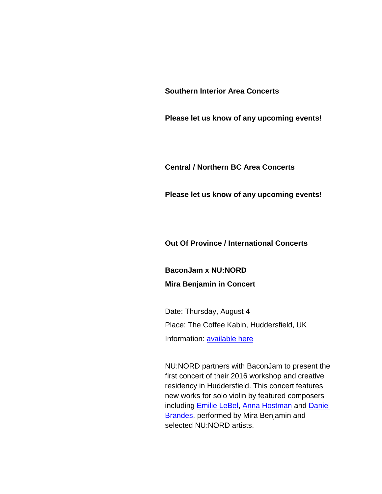**Southern Interior Area Concerts**

**Please let us know of any upcoming events!**

**Central / Northern BC Area Concerts**

**Please let us know of any upcoming events!**

**Out Of Province / International Concerts**

**BaconJam x NU:NORD Mira Benjamin in Concert**

Date: Thursday, August 4 Place: The Coffee Kabin, Huddersfield, UK Information: [available here](http://r20.rs6.net/tn.jsp?f=001L32XprImvdnfra45lniewLmA0XCfxVxf2Z-w9zuRGH7Dyq74i1dyXjVdI1kJ9XUapqMNXSv1_sNPU2OFHcziaaUtiLrPwtKaxcZufyN_t0Go_Aan_wVgei_W2E9rj7VoaLGGQXYuQ-MXOSQZGyjlEWfAFs0Z4l6swblPeGVSadVabEc0d2cgqpAdt8TuL_MhcBKxNfxSyimo7Hjsi5otAXE0TOX-akpPtzVKxYa7Xwa0k4eRsVa0UHPxuDpZoDebinnJ-ekHWAikYS_6Ww1ygodZpjx1_w-vC0NB7x_dpKlHIdhOWOE91BdqtTcEPz-mt6-h_LjUxzp26cMFshHeVw==&c=7_E537nQefR8JTczxirQIfrOHjhhfdCy3JaJJywrj8XAJuRbqbhEXw==&ch=6mJfS4g1m_wyEyyLXCyQfYRx51c28mjgwf4li_y51O6maLwHg17j-g==)

NU:NORD partners with BaconJam to present the first concert of their 2016 workshop and creative residency in Huddersfield. This concert features new works for solo violin by featured composers including [Emilie LeBel,](http://r20.rs6.net/tn.jsp?f=001L32XprImvdnfra45lniewLmA0XCfxVxf2Z-w9zuRGH7Dyq74i1dyXjVdI1kJ9XUa4A9ESEZ04iU4zKNow1J_kJv-j2dDmu6J-sTZ7UDZg1fZATxwF2pVHiZI3Jt0va-_P0_j9hf4NA4oWuNY83-2jUO-QaK_fyQTv3ueR_-n8bn31n0Kz6CkLB8wgcK5joOHUAf93J_eUucUbhn0ydhNLyZy1M9SgNQrqa_Qb0RCwPYKbtp0XjTWK7y1WgHu3fVq6RUH3iCAJ9UCMHdpYySEbbo6v-Jk6QjzmPji7lrtPKo0L5Qxd2QY_boa_c6erwwBOUXC3jasR7E=&c=7_E537nQefR8JTczxirQIfrOHjhhfdCy3JaJJywrj8XAJuRbqbhEXw==&ch=6mJfS4g1m_wyEyyLXCyQfYRx51c28mjgwf4li_y51O6maLwHg17j-g==) [Anna Hostman](http://r20.rs6.net/tn.jsp?f=001L32XprImvdnfra45lniewLmA0XCfxVxf2Z-w9zuRGH7Dyq74i1dyXoXtubMIQmOmyzr-Ijhw09qlkQddixO7iViXuJhce4VxNTKb1cklP1aA7pvbo_E88fRk0WYTDhzVKoZfJEBJwieqximhrROXEAcmb8BDjvGfJEGOdD3oQLuORw7-CedBx1T5gIilPj4hZtQj8ZrMbiXuJu07ONlWFAnYWAoD2hG-e55o05VeyVz2Xh4x18r1M0sA8Lkn33KyOWOXtr_pP1XttbVLi2CCtS2jyyqxtL86pkMcRltC8zVZo5RcpUVmGJXGvQ-AIqd3vHMzutqJdcA=&c=7_E537nQefR8JTczxirQIfrOHjhhfdCy3JaJJywrj8XAJuRbqbhEXw==&ch=6mJfS4g1m_wyEyyLXCyQfYRx51c28mjgwf4li_y51O6maLwHg17j-g==) and [Daniel](http://r20.rs6.net/tn.jsp?f=001L32XprImvdnfra45lniewLmA0XCfxVxf2Z-w9zuRGH7Dyq74i1dyXlP-9BR50eTW3Eo1s4cU50cKvLredtF15kF82OXWJ_lHuYeCvM5H92k8WbbbgCd9iit-TJ14Wsa6DDfZi1Y9shB4fMvQ9U_iWzsWdagELcF4xypB31kihyyzTCsDxyM4z4sCArCkTRqVjCD0nZ5UvS3oit7aAz4qKH0lgK87YuuK3PD7QUfV6at4qw05xPVXl3XuvoveQUf4-Z2xn7pOlQe4HtzIc5tqGiwnXjE321u5fPiVD-KaazHgJa0XHkLawAR5mv7FBv8ddEbyUbnv0Co=&c=7_E537nQefR8JTczxirQIfrOHjhhfdCy3JaJJywrj8XAJuRbqbhEXw==&ch=6mJfS4g1m_wyEyyLXCyQfYRx51c28mjgwf4li_y51O6maLwHg17j-g==)  [Brandes,](http://r20.rs6.net/tn.jsp?f=001L32XprImvdnfra45lniewLmA0XCfxVxf2Z-w9zuRGH7Dyq74i1dyXlP-9BR50eTW3Eo1s4cU50cKvLredtF15kF82OXWJ_lHuYeCvM5H92k8WbbbgCd9iit-TJ14Wsa6DDfZi1Y9shB4fMvQ9U_iWzsWdagELcF4xypB31kihyyzTCsDxyM4z4sCArCkTRqVjCD0nZ5UvS3oit7aAz4qKH0lgK87YuuK3PD7QUfV6at4qw05xPVXl3XuvoveQUf4-Z2xn7pOlQe4HtzIc5tqGiwnXjE321u5fPiVD-KaazHgJa0XHkLawAR5mv7FBv8ddEbyUbnv0Co=&c=7_E537nQefR8JTczxirQIfrOHjhhfdCy3JaJJywrj8XAJuRbqbhEXw==&ch=6mJfS4g1m_wyEyyLXCyQfYRx51c28mjgwf4li_y51O6maLwHg17j-g==) performed by Mira Benjamin and selected NU:NORD artists.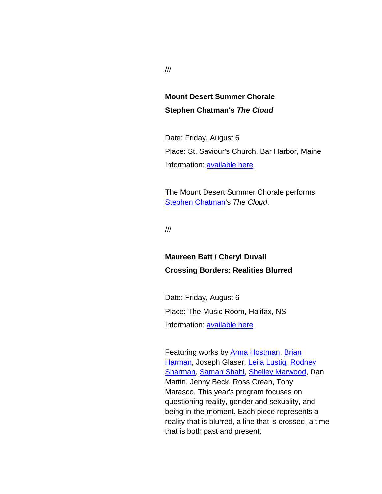## **Mount Desert Summer Chorale Stephen Chatman's** *The Cloud*

Date: Friday, August 6 Place: St. Saviour's Church, Bar Harbor, Maine Information: [available here](http://r20.rs6.net/tn.jsp?f=001L32XprImvdnfra45lniewLmA0XCfxVxf2Z-w9zuRGH7Dyq74i1dyXjVdI1kJ9XUaUfVEJpqI_OOMA_ZmYIDCXm7NfttmR7RHUWSesofrKNPhqMONlRazFTZxXPaMknvf38bdaRdjVirR7N6ajS6pbQpfsX_9uoCRcFY3LA6jHetDQybEiZL8gbboxi2v6NVVVNEI4aDrKTzcznU2NPYQDF5xAJXaTWMW9g5UpXz-9-UK1G_H6n-vhj3qBcAGkaqDTFGszqQHTiabhCCgYOZZ7GPOD7E6sCRMoH_OXOQS-6M=&c=7_E537nQefR8JTczxirQIfrOHjhhfdCy3JaJJywrj8XAJuRbqbhEXw==&ch=6mJfS4g1m_wyEyyLXCyQfYRx51c28mjgwf4li_y51O6maLwHg17j-g==)

The Mount Desert Summer Chorale performs [Stephen Chatman's](http://r20.rs6.net/tn.jsp?f=001L32XprImvdnfra45lniewLmA0XCfxVxf2Z-w9zuRGH7Dyq74i1dyXhCbFKt05UtxqO0cRr4tvaIudSmgDSge-ts5ye33WEQBKNKA_FzuK0AWP2yQF_WF3oxlu55OJTFKW6OsUIKL6vW-JthAh_OC-sWrif9E418aUTghEQqtmx-OPiY5fFLDgQuUOeBCQ9Xc2l4kPKmamTZk_gBZNCFjbZzTAjwtd9E0B11XiPP6Q-Cst_zrTqQLuyNYYBVpU4iY5M8y3dakUzKogsoQjbiKX3QHFr5F3ibk6uIA0ec87B2nPqTN2kVlqs1MiIDEtNMaYd91zl73J3M=&c=7_E537nQefR8JTczxirQIfrOHjhhfdCy3JaJJywrj8XAJuRbqbhEXw==&ch=6mJfS4g1m_wyEyyLXCyQfYRx51c28mjgwf4li_y51O6maLwHg17j-g==) *The Cloud*.

///

## **Maureen Batt / Cheryl Duvall Crossing Borders: Realities Blurred**

Date: Friday, August 6 Place: The Music Room, Halifax, NS Information: [available here](http://r20.rs6.net/tn.jsp?f=001L32XprImvdnfra45lniewLmA0XCfxVxf2Z-w9zuRGH7Dyq74i1dyXhCWt_HkgUc3AgGlBiSF6JoRH386XwZmGyj_ke8DHfgyu8u76CfK7tmJfFGapugQ4hWD7aRZsYgxAGvAl3jiliDL8209oU3mNY7XzWLj8SYuyMrz_U-wTZRVuxepXE3Y5z-O0SLyklPJzcERa5AtKAZmSM1iUGPBlA==&c=7_E537nQefR8JTczxirQIfrOHjhhfdCy3JaJJywrj8XAJuRbqbhEXw==&ch=6mJfS4g1m_wyEyyLXCyQfYRx51c28mjgwf4li_y51O6maLwHg17j-g==)

Featuring works by **Anna Hostman**, Brian [Harman,](http://r20.rs6.net/tn.jsp?f=001L32XprImvdnfra45lniewLmA0XCfxVxf2Z-w9zuRGH7Dyq74i1dyXhCbFKt05UtxThB8NZIYxPa2H80hWb7-5gUrg5JWAplUnnp--stJYqZcM23CkZuvqYowldQ-w8yDsxZUTJF7G7oK3MzGcbsIJ0FgbgmGEMBqn3IyJ_6oh-4RTKMhobWN0h_xsYskxls50xMPGvE4tZNjFjzmVaQGIGT3CVZ7nYrVAhNHX0haJHbzoVDoUXF1VLCD-1qh6ZL5IQv9LhfhXH5ApTC_JWJ8R14Tb9HuWIPTpZyLXo1gEsIH9Na86EgVAkKaj1nq-pqF18Ko_9MM6HQ=&c=7_E537nQefR8JTczxirQIfrOHjhhfdCy3JaJJywrj8XAJuRbqbhEXw==&ch=6mJfS4g1m_wyEyyLXCyQfYRx51c28mjgwf4li_y51O6maLwHg17j-g==) Joseph Glaser, [Leila Lustig,](http://r20.rs6.net/tn.jsp?f=001L32XprImvdnfra45lniewLmA0XCfxVxf2Z-w9zuRGH7Dyq74i1dyXtG1l-3JPtDoFlcJvDir0r0Cr6vGVbsW0ggKkyxwlrybhkLRYufwmsHwS-SC3fK_fvSPLTJnPlKojPZOed3fUGG9VSCXolbpaxgrppEdbnDq7H-HEJieL6hKtNLaEroGSu9rJsPGV1-VMvTGOBFvrMJ51S2z_0eIe3Nz6aqh-4uhXUCR6fay7Uyuy9LTzpwsK7AFP2klxijVArSD14j4ZMNkJPSQtexqb92KKhjzCp3Vhpt6JzLrWiiuOd3s2xYqVoB9CREsLk5TfMbsn3eEt9A=&c=7_E537nQefR8JTczxirQIfrOHjhhfdCy3JaJJywrj8XAJuRbqbhEXw==&ch=6mJfS4g1m_wyEyyLXCyQfYRx51c28mjgwf4li_y51O6maLwHg17j-g==) Rodney [Sharman,](http://r20.rs6.net/tn.jsp?f=001L32XprImvdnfra45lniewLmA0XCfxVxf2Z-w9zuRGH7Dyq74i1dyXj0nCHWMRiqLoraQ_CXXidw-ecx12IRVsqhtfetm54-m4DuHrcPtMwNBGnm9Pm_sWhmOny6UdyohHLmoIsZgB2knaIWJH6J52BgvFDOYgKkuv_Ym-NmJfG38Lr2tCH85yl_cR2ReKrSlw-y4-lyW7le5Sj7_Ws0qX24hUiNQNJ4TFiksDAMFuE5bxr25xE3Di9uQQoj2ORFrIy2q8Ac1rb8Qel0RCjLsa2TVOIKeupKQIg5vzLhFrIzUhGKB_f-EteB5gwnc6eAC5Qn0bsDhd-g=&c=7_E537nQefR8JTczxirQIfrOHjhhfdCy3JaJJywrj8XAJuRbqbhEXw==&ch=6mJfS4g1m_wyEyyLXCyQfYRx51c28mjgwf4li_y51O6maLwHg17j-g==) [Saman Shahi,](http://r20.rs6.net/tn.jsp?f=001L32XprImvdnfra45lniewLmA0XCfxVxf2Z-w9zuRGH7Dyq74i1dyXhCWt_HkgUc3y0HDw5Ba8sZLo0c1Uqzc-yd8uqnH1vJIXW4NNkrCwL_cbKbGSY9eek1GhKOUTCB0xMxC0LfYamhc2Ko3Dq9tfHAEfbef_0VXEiaMgwHlgW_TR3w4S-cwucegg_7THLBcJYfuBOhmrPUHe4Aw_qwKUMjBYu_7Bg0JbNLW8-JI9fMQDk7OIEwxDUv-FiEpUC_besN8MMgIuQNfC43Q-Vwn-eMJ59VSms21igE9OqiOimNaGyfa9ihCMfGA3wo0VzD8hXg2DLvN9PM=&c=7_E537nQefR8JTczxirQIfrOHjhhfdCy3JaJJywrj8XAJuRbqbhEXw==&ch=6mJfS4g1m_wyEyyLXCyQfYRx51c28mjgwf4li_y51O6maLwHg17j-g==) [Shelley Marwood,](http://r20.rs6.net/tn.jsp?f=001L32XprImvdnfra45lniewLmA0XCfxVxf2Z-w9zuRGH7Dyq74i1dyXhCWt_HkgUc3haZtaIJ1ax6955n1vLX6nPh26DNWSCcHqBELM1VO9LX6iMWTrnVoLvS-Y-1w1S50xx0gPZtQIbjYJTeWkgz6KnUO5O1u2uEhIoaLJcx7qi4vOAcapWRutyl7_6uT7AvOvZBfKXZK13mbTU3voGqPCRdhWXUA5kwcIkxgbdoRkqKqeerLupo3v9I-puK7fdrHmw-4kIxM5Rgy6Ucq2xEQlfWElCD4aPlnjqDZ3yOCVmd3ewoFUlodfJNPPxCRs6uKxUK1w4uxb-0=&c=7_E537nQefR8JTczxirQIfrOHjhhfdCy3JaJJywrj8XAJuRbqbhEXw==&ch=6mJfS4g1m_wyEyyLXCyQfYRx51c28mjgwf4li_y51O6maLwHg17j-g==) Dan Martin, Jenny Beck, Ross Crean, Tony Marasco. This year's program focuses on questioning reality, gender and sexuality, and being in-the-moment. Each piece represents a reality that is blurred, a line that is crossed, a time that is both past and present.

///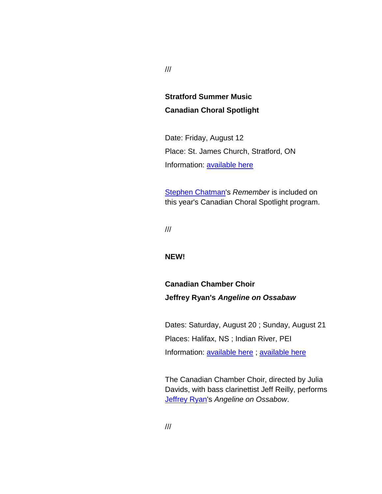## **Stratford Summer Music Canadian Choral Spotlight**

Date: Friday, August 12 Place: St. James Church, Stratford, ON Information: [available here](http://r20.rs6.net/tn.jsp?f=001L32XprImvdnfra45lniewLmA0XCfxVxf2Z-w9zuRGH7Dyq74i1dyXjVdI1kJ9XUasVixJw7b2u9CXJz9Sqghu6o88hYTkXlIzA1oP0abPaUBLk1rmmG557Qpd-e8FdsN36PSQTGwZKR36rY1dd09gG5eZO2BoZOlqbjxVrPD2-E2LNAKXB4wKgbW1tAenEzrpEmX2BlAC7hbYL2n9uf-_VQVqWLLGhkz5cHcmZxPwF2RuiaEDexE-nDx09egLz5RqBKAZsH3upwnrIyO7R6R1BlcLUCmuh0fttbpEPdSOPf_SnqMQMRHL4JonKtzD1_zabnHEH26cdTfBBEMwdxkdg==&c=7_E537nQefR8JTczxirQIfrOHjhhfdCy3JaJJywrj8XAJuRbqbhEXw==&ch=6mJfS4g1m_wyEyyLXCyQfYRx51c28mjgwf4li_y51O6maLwHg17j-g==)

[Stephen Chatman's](http://r20.rs6.net/tn.jsp?f=001L32XprImvdnfra45lniewLmA0XCfxVxf2Z-w9zuRGH7Dyq74i1dyXhCbFKt05UtxqO0cRr4tvaIudSmgDSge-ts5ye33WEQBKNKA_FzuK0AWP2yQF_WF3oxlu55OJTFKW6OsUIKL6vW-JthAh_OC-sWrif9E418aUTghEQqtmx-OPiY5fFLDgQuUOeBCQ9Xc2l4kPKmamTZk_gBZNCFjbZzTAjwtd9E0B11XiPP6Q-Cst_zrTqQLuyNYYBVpU4iY5M8y3dakUzKogsoQjbiKX3QHFr5F3ibk6uIA0ec87B2nPqTN2kVlqs1MiIDEtNMaYd91zl73J3M=&c=7_E537nQefR8JTczxirQIfrOHjhhfdCy3JaJJywrj8XAJuRbqbhEXw==&ch=6mJfS4g1m_wyEyyLXCyQfYRx51c28mjgwf4li_y51O6maLwHg17j-g==) *Remember* is included on this year's Canadian Choral Spotlight program.

///

#### **NEW!**

## **Canadian Chamber Choir Jeffrey Ryan's** *Angeline on Ossabaw*

Dates: Saturday, August 20 ; Sunday, August 21 Places: Halifax, NS ; Indian River, PEI Information: [available here](http://r20.rs6.net/tn.jsp?f=001L32XprImvdnfra45lniewLmA0XCfxVxf2Z-w9zuRGH7Dyq74i1dyXuu0Uk8ANJJcuBBjZM3m2Tf8jdOD4IWmdASLrJdMimFVRoMlcBF5osE-Aar_b-kQ-dyisN6lJijxROzmCQOP5_Fht5fA1D8rFMkYpU8ql2cVA3928WRwzteIIPj14UPo8bLg8CfYD9zk4AYq6xThk2k80bhSBhkR9DhblXf-jSqgzr0KecVCLRaEGvOt3_aNo8IfMPS40sqDvSMKo9C6rLfXuO2MWzbW_-rq0Dy4YG9T9HWwk6wuij2MzEJ5lsBENIatIYAh7-6BDe7gYMVELBuDNlFZ391zyU2QJ0BawzjV&c=7_E537nQefR8JTczxirQIfrOHjhhfdCy3JaJJywrj8XAJuRbqbhEXw==&ch=6mJfS4g1m_wyEyyLXCyQfYRx51c28mjgwf4li_y51O6maLwHg17j-g==) ; available here

The Canadian Chamber Choir, directed by Julia Davids, with bass clarinettist Jeff Reilly, performs [Jeffrey Ryan'](http://r20.rs6.net/tn.jsp?f=001L32XprImvdnfra45lniewLmA0XCfxVxf2Z-w9zuRGH7Dyq74i1dyXmbKZgCb_RJOqmP2aM-euryjr6qdeUXZSwCNpgVrQVRFnunNRo90AAria3oOVEDh_hHEHEL3j4IB7yLiTeWqc0d8zkQj2tEry8b3fyJRSip-CJIHdFlkHXF09M26LeW9XgxAxU84cifCQyAyuEg-tE2ndZXnB977BZD1McYoIPowTGYgkLdnrFKu3oDOMaloB19cfj30woKBfQtcMLHPCOGtKsw9iSSwYpCXXMHDFS0KK1xzVg_DNKocXZVVNhOCg0VwWkR_SleyPHMFbz9fAvM=&c=7_E537nQefR8JTczxirQIfrOHjhhfdCy3JaJJywrj8XAJuRbqbhEXw==&ch=6mJfS4g1m_wyEyyLXCyQfYRx51c28mjgwf4li_y51O6maLwHg17j-g==)s *Angeline on Ossabow*.

///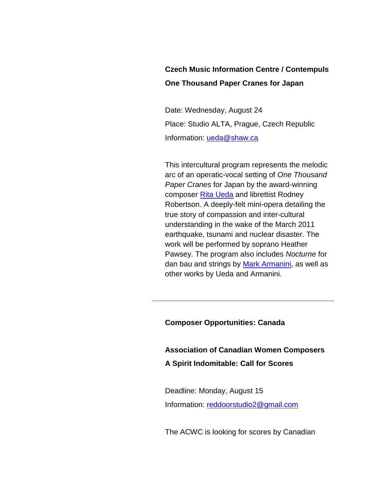## **Czech Music Information Centre / Contempuls One Thousand Paper Cranes for Japan**

Date: Wednesday, August 24 Place: Studio ALTA, Prague, Czech Republic Information: [ueda@shaw.ca](mailto:ueda@shaw.ca)

This intercultural program represents the melodic arc of an operatic-vocal setting of *One Thousand Paper Cranes* for Japan by the award-winning composer [Rita Ueda](http://r20.rs6.net/tn.jsp?f=001L32XprImvdnfra45lniewLmA0XCfxVxf2Z-w9zuRGH7Dyq74i1dyXhCbFKt05UtxKYWUeUuNM39PBJ11g2H_j0FUhwJ1vLTxQFqraIIRoyThZ0pyNAz2eiKSVPKsX8K9338RlO9Eavjpy_4pii7H0QaHbphxZzuqrbRpivXPycy3gvIUmlC-isUo-LUS0CBJjbU711P8yOLtPazeqK-JnxWvZAkwqA7dOoL-pIRz6f2yftZrM2qdbunkb6Hc8yJ61r88UhJiPQW4ajSFd4FwWnB6gEGwGRqDvXR40Cogyy0cqC1ydDSKbEkB1JQq3lJEmLgWRaROGsQ=&c=7_E537nQefR8JTczxirQIfrOHjhhfdCy3JaJJywrj8XAJuRbqbhEXw==&ch=6mJfS4g1m_wyEyyLXCyQfYRx51c28mjgwf4li_y51O6maLwHg17j-g==) and librettist Rodney Robertson. A deeply-felt mini-opera detailing the true story of compassion and inter-cultural understanding in the wake of the March 2011 earthquake, tsunami and nuclear disaster. The work will be performed by soprano Heather Pawsey. The program also includes *Nocturne* for dan bau and strings by [Mark Armanini,](http://r20.rs6.net/tn.jsp?f=001L32XprImvdnfra45lniewLmA0XCfxVxf2Z-w9zuRGH7Dyq74i1dyXhCbFKt05Utxmeg2GpJ2CpcIvGHdr9RujKSR6UFvS2Gxq1p6o5tqnk1LaQPe64wP4DvER4v_6fGlAzBGodPXPpi96pJtzx46I8PQL46i69i4MwiD0SeeymFZaZ2bKU3TPL2DN_lBnRkk8as2yh5YUHmOnrISJo21fmBDbWR7muU6dlXcNs2xGkZIGMmibbOEzm-FVW84peOCqmZxojpKu-9m8euzcC47jQUe-8b278BOyctEyvyYy80RlXD-K7rdAp690XKX5vt5Ku_PS0UPYUE=&c=7_E537nQefR8JTczxirQIfrOHjhhfdCy3JaJJywrj8XAJuRbqbhEXw==&ch=6mJfS4g1m_wyEyyLXCyQfYRx51c28mjgwf4li_y51O6maLwHg17j-g==) as well as other works by Ueda and Armanini.

#### **Composer Opportunities: Canada**

**Association of Canadian Women Composers A Spirit Indomitable: Call for Scores**

Deadline: Monday, August 15 Information: [reddoorstudio2@gmail.com](mailto:reddoorstudio2@gmail.com)

The ACWC is looking for scores by Canadian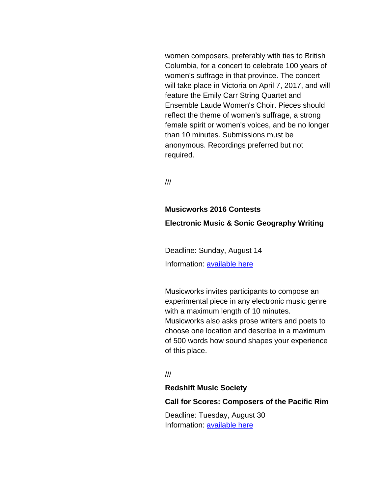women composers, preferably with ties to British Columbia, for a concert to celebrate 100 years of women's suffrage in that province. The concert will take place in Victoria on April 7, 2017, and will feature the Emily Carr String Quartet and Ensemble Laude Women's Choir. Pieces should reflect the theme of women's suffrage, a strong female spirit or women's voices, and be no longer than 10 minutes. Submissions must be anonymous. Recordings preferred but not required.

///

# **Musicworks 2016 Contests Electronic Music & Sonic Geography Writing**

Deadline: Sunday, August 14 Information: [available here](http://r20.rs6.net/tn.jsp?f=001L32XprImvdnfra45lniewLmA0XCfxVxf2Z-w9zuRGH7Dyq74i1dyXg0S1Ye8gbyDLR7yTU8sAfvemI5jjf2rbji1a34AnLWt9_8shF2a3iA_KnqIEXFZLMLsfoOGejxiir641WvEH-hQc_idwKhXIkzStd2gvZfTOV5HnxjvD1xMKmDuZSecMR-_H0j7i-U3OKG-Nq1HS4ozvIfHWr5sxJrvj8wPRyGyFpB0r7JPVRjLKGjG7lSEhBSAU72dg5PtZFlYrKL4L4pCaC5t0yhzgij-lkyYazgOEG_n541L21lNiw_FZyMtdq3HJ8HRNpSgmOsQ80kW1w_M1aOGrGpFoZTQjDe4cpoDWrodXd_LM5qfzZynOdO4-Exas-kzusCZqeDwNWJ2s9zLkl7gz-h30W0b92KpllzJV8-u9AKJ2aXRc6wenMNF1A==&c=7_E537nQefR8JTczxirQIfrOHjhhfdCy3JaJJywrj8XAJuRbqbhEXw==&ch=6mJfS4g1m_wyEyyLXCyQfYRx51c28mjgwf4li_y51O6maLwHg17j-g==)

Musicworks invites participants to compose an experimental piece in any electronic music genre with a maximum length of 10 minutes. Musicworks also asks prose writers and poets to choose one location and describe in a maximum of 500 words how sound shapes your experience of this place.

///

#### **Redshift Music Society**

#### **Call for Scores: Composers of the Pacific Rim**

Deadline: Tuesday, August 30 Information: [available here](http://r20.rs6.net/tn.jsp?f=001L32XprImvdnfra45lniewLmA0XCfxVxf2Z-w9zuRGH7Dyq74i1dyXm6PQmUkMAvxUrExEtyioZZ6vohtI1obna5GVpDuWCkLyRDlVHxN6tcM5aIjAuIhcHFjm-xkF3OFgb0bV_rBVhCgA3x9utPHhdjI2uDrFw4iLbgCoIUv8YujA4oPzq_ZECGk-zt4Id-iCZe5MLuQ0OXf5kC4osgZ9_rcykXa0LJwPkm8opQ96noyVHhifKLbgqw9JlOBrpI4f8_sXYS6u2mHM75mieL5ayjmGXgS5Z3MTYQlWc9mzEVdknYfQUcpGnNVwBl6MKIELG_ADULbqa776QztWVsX4xGFJxQWy7YrnfbvGiq67wDrfqs8eEAuOLm1r9Lagr_jeWuCTQ7EDxY=&c=7_E537nQefR8JTczxirQIfrOHjhhfdCy3JaJJywrj8XAJuRbqbhEXw==&ch=6mJfS4g1m_wyEyyLXCyQfYRx51c28mjgwf4li_y51O6maLwHg17j-g==)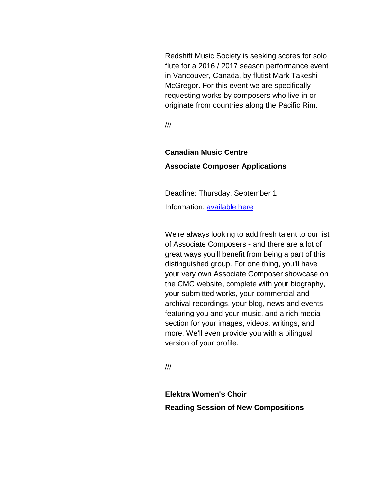Redshift Music Society is seeking scores for solo flute for a 2016 / 2017 season performance event in Vancouver, Canada, by flutist Mark Takeshi McGregor. For this event we are specifically requesting works by composers who live in or originate from countries along the Pacific Rim.

///

# **Canadian Music Centre Associate Composer Applications**

Deadline: Thursday, September 1 Information: [available here](http://r20.rs6.net/tn.jsp?f=001L32XprImvdnfra45lniewLmA0XCfxVxf2Z-w9zuRGH7Dyq74i1dyXoXtubMIQmOmozIylby521Hp6ygTYYuuhc2qDV-Wa2MlngrX0vbIjJAcdvyvFrnFp9Eww1cCA6aAIx7Q_mdtNscebJydDr2PkZIaBizjRebQY1BVX3UcZb9tcwFan9ROVtqhQIYkWBTDemg8DtyLz1ec1VKBrZmqGEYLxHIiH7zk5Nr_VwqL0vtlk1kq1v15xo1nw9kosBK8OraJK6FpJmAyin83RMtVXPKZnNwxPZbFW8pVVJGX4Y0ZSlV3FLk3oX154PXV6PYL&c=7_E537nQefR8JTczxirQIfrOHjhhfdCy3JaJJywrj8XAJuRbqbhEXw==&ch=6mJfS4g1m_wyEyyLXCyQfYRx51c28mjgwf4li_y51O6maLwHg17j-g==)

We're always looking to add fresh talent to our list of Associate Composers - and there are a lot of great ways you'll benefit from being a part of this distinguished group. For one thing, you'll have your very own Associate Composer showcase on the CMC website, complete with your biography, your submitted works, your commercial and archival recordings, your blog, news and events featuring you and your music, and a rich media section for your images, videos, writings, and more. We'll even provide you with a bilingual version of your profile.

///

**Elektra Women's Choir Reading Session of New Compositions**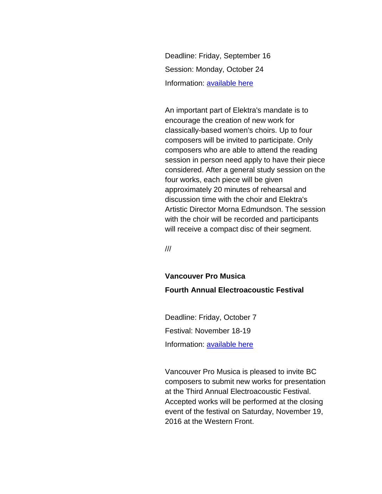Deadline: Friday, September 16 Session: Monday, October 24 Information: [available here](http://r20.rs6.net/tn.jsp?f=001L32XprImvdnfra45lniewLmA0XCfxVxf2Z-w9zuRGH7Dyq74i1dyXj2j8XAiK7WvK20DzOXh1OuX_IlVpZSb6psunJM3GE44A_8PHP_2mgZC6akOFPo33LA8VTe3PEVGgAX0U68oghkoZ6EZtLGvhMscFyS_D1XWEiGXGKlFViuaw3gBn9xlQmvA8g_kShLwjryzHWMS3-Yi3GE4uzALn640v6PgECay81j9WZPj8sUEJjUC0vjpdbRByoEgvHCInPVBh8EWBGz-QiPCYtyftl1iNzdSQN06sZu3KtOXsWbWCtKRGM604XPk_MXwFCmQ8Mv9xcoKn-M=&c=7_E537nQefR8JTczxirQIfrOHjhhfdCy3JaJJywrj8XAJuRbqbhEXw==&ch=6mJfS4g1m_wyEyyLXCyQfYRx51c28mjgwf4li_y51O6maLwHg17j-g==)

An important part of Elektra's mandate is to encourage the creation of new work for classically-based women's choirs. Up to four composers will be invited to participate. Only composers who are able to attend the reading session in person need apply to have their piece considered. After a general study session on the four works, each piece will be given approximately 20 minutes of rehearsal and discussion time with the choir and Elektra's Artistic Director Morna Edmundson. The session with the choir will be recorded and participants will receive a compact disc of their segment.

///

## **Vancouver Pro Musica Fourth Annual Electroacoustic Festival**

Deadline: Friday, October 7 Festival: November 18-19 Information: [available here](http://r20.rs6.net/tn.jsp?f=001L32XprImvdnfra45lniewLmA0XCfxVxf2Z-w9zuRGH7Dyq74i1dyXolWEoRSITQiCE7f5yK4zMjG4WO2rKfIGzEXLGg6vPCYHhfuPeObS4cemUaJ5nSREONIzG6aa3HrYZFe4RYYZtJk2nm4eO_GDxqe1G2_Sz9AqpZxvprPgDweVUZPrYg6aO5I6FbwhQCas4Q0ANE5L4N66f6_1XVLDVS8IakhVNt2FZ-zUmi500TfqdpaFzRWbf6vsH0icecNrLU6ZuyTRhq-nQhMbX_OFH0oE7IYdmvoPGoENx0Zwev12zG8ViUmbPFH9MqaZPwdhvQtyqDJQBrxyiJ_awOoYpV1gTYKLS452e_IGY2N_5nmorJkTW64ymumDcIF6kZ2varKfSnWTZbRpLi3o__txg==&c=7_E537nQefR8JTczxirQIfrOHjhhfdCy3JaJJywrj8XAJuRbqbhEXw==&ch=6mJfS4g1m_wyEyyLXCyQfYRx51c28mjgwf4li_y51O6maLwHg17j-g==)

Vancouver Pro Musica is pleased to invite BC composers to submit new works for presentation at the Third Annual Electroacoustic Festival. Accepted works will be performed at the closing event of the festival on Saturday, November 19, 2016 at the Western Front.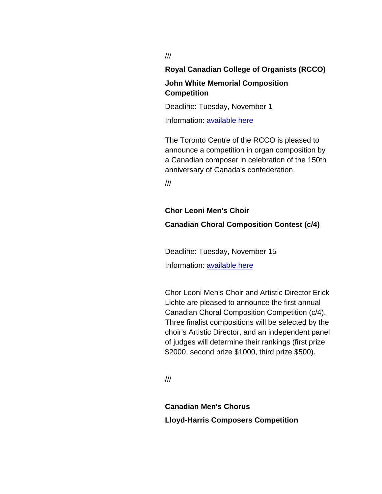///

**Royal Canadian College of Organists (RCCO)**

## **John White Memorial Composition Competition**

Deadline: Tuesday, November 1

Information: [available here](http://r20.rs6.net/tn.jsp?f=001L32XprImvdnfra45lniewLmA0XCfxVxf2Z-w9zuRGH7Dyq74i1dyXm6PQmUkMAvxJjimbUnOeRxGNc3qSK6s7QrsoK0pdfXli0s_gum8MN4-N_CsDliSZaqvJ1L18LSvxfCzVEfnA7PE008x5m0B-FiO08P0mc8vqKODgq1Ft1ROA4iZcC6zz_u3-EhDsYqNwe7MaxSTNxUgdAHxePcp0-yIU1urre9FTNr9mGLiZnbmjbE1YP7EzgraPxyL_Ye1kfa2TgJHiHcwxTeg4AHvZgKPALyaCpZnYvK_yrJSPgI8ouu8vWPaqafQmW470Ius&c=7_E537nQefR8JTczxirQIfrOHjhhfdCy3JaJJywrj8XAJuRbqbhEXw==&ch=6mJfS4g1m_wyEyyLXCyQfYRx51c28mjgwf4li_y51O6maLwHg17j-g==)

The Toronto Centre of the RCCO is pleased to announce a competition in organ composition by a Canadian composer in celebration of the 150th anniversary of Canada's confederation.

///

## **Chor Leoni Men's Choir Canadian Choral Composition Contest (c/4)**

Deadline: Tuesday, November 15 Information: [available here](http://r20.rs6.net/tn.jsp?f=001L32XprImvdnfra45lniewLmA0XCfxVxf2Z-w9zuRGH7Dyq74i1dyXhZrsSJXp0BBSiwgBsSqDC7gclNmmqvRSyEO7Y7kJxhv9a8BPllICYyFQyv8-GRu3jVz6QpA4eqJqDCRXLqXXJI0B0P3K-U3CUFyzmGmz5_YZImsg-7gj0QRWhhr8pzXlGx1owmFfg0-NIOq3vhpbkOZFb9l2fmQjpa0BtuwmqBhbdnNQXTDUjAfjPC-ktITicqJF2HGwTPGD-wrnLrpfX2QolEOZr7oefiOf1S7tl9p4gX7zbgYZHuNxI4A024obJfE_YUTdRZ7RYWN8h4_-6noU9RnCrN-6_QH5BY45IXLgKZf3KmcReYsh6vvDQ0jOcU-Ps_fCsImzRpdhl4IGXS0Nbt8uMOYWw==&c=7_E537nQefR8JTczxirQIfrOHjhhfdCy3JaJJywrj8XAJuRbqbhEXw==&ch=6mJfS4g1m_wyEyyLXCyQfYRx51c28mjgwf4li_y51O6maLwHg17j-g==)

Chor Leoni Men's Choir and Artistic Director Erick Lichte are pleased to announce the first annual Canadian Choral Composition Competition (c/4). Three finalist compositions will be selected by the choir's Artistic Director, and an independent panel of judges will determine their rankings (first prize \$2000, second prize \$1000, third prize \$500).

///

**Canadian Men's Chorus Lloyd-Harris Composers Competition**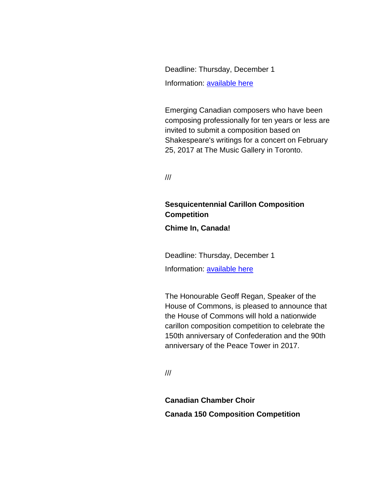Deadline: Thursday, December 1 Information: [available here](http://r20.rs6.net/tn.jsp?f=001L32XprImvdnfra45lniewLmA0XCfxVxf2Z-w9zuRGH7Dyq74i1dyXqSe96LSY9L0-bSDi3jpW4Bs_YqgYJw_Dv4DDNj3WyywDv3nzeTslpPO60BPUjTGqEsNI_mlenb7aHUd_2Gfm0B0TqMAYb8O_pVyRRrMhLMZPkMCz08G8LnV7-OFSl4YbHRT1zM_xJX_mo-dvR-JYyC63Ejv-Nvw8oUi-Xb1zH2jiqlSGETCOOVL6-OFzBVVAIJd052sLuUAzE0V1a6FIT9v9FCHu7ymrGu-c6w2lm95FnzA6d6gF7RycoVGu0sgQxhnWgZWL-A6ubrwL6tlIvFNiJ_GaMJA7rFBXJo3ifN3p8-WhyA91GLmo-41NAwdQxxMXldb4PLB&c=7_E537nQefR8JTczxirQIfrOHjhhfdCy3JaJJywrj8XAJuRbqbhEXw==&ch=6mJfS4g1m_wyEyyLXCyQfYRx51c28mjgwf4li_y51O6maLwHg17j-g==)

Emerging Canadian composers who have been composing professionally for ten years or less are invited to submit a composition based on Shakespeare's writings for a concert on February 25, 2017 at The Music Gallery in Toronto.

///

## **Sesquicentennial Carillon Composition Competition**

**Chime In, Canada!**

Deadline: Thursday, December 1

Information: [available here](http://r20.rs6.net/tn.jsp?f=001L32XprImvdnfra45lniewLmA0XCfxVxf2Z-w9zuRGH7Dyq74i1dyXkEo7V5nVCc-4TnYm7zEpxUGz1F-CQ4mjnjthEoAHhM3UnaYtL4znnwwNRjz7zLYWurj6iw5210kLkyRefYt0LyYbe0zEZyrHyXQMmeBPJpbg58tRu2vyOVZOXiFeh8Aak7gMBAoFOtImqfL44X1MLmRqPwoQ3f-MI53rG54Wywc_M6dW3nLJ8wV50_QB9hMrnIbs0WOcI2HG-QmD_O7FGi7yM5OH3v_grq1yWqaRL9UMAvxJp0ZMisUqC4MVi88TJQizdfH77tL&c=7_E537nQefR8JTczxirQIfrOHjhhfdCy3JaJJywrj8XAJuRbqbhEXw==&ch=6mJfS4g1m_wyEyyLXCyQfYRx51c28mjgwf4li_y51O6maLwHg17j-g==)

The Honourable Geoff Regan, Speaker of the House of Commons, is pleased to announce that the House of Commons will hold a nationwide carillon composition competition to celebrate the 150th anniversary of Confederation and the 90th anniversary of the Peace Tower in 2017.

///

**Canadian Chamber Choir Canada 150 Composition Competition**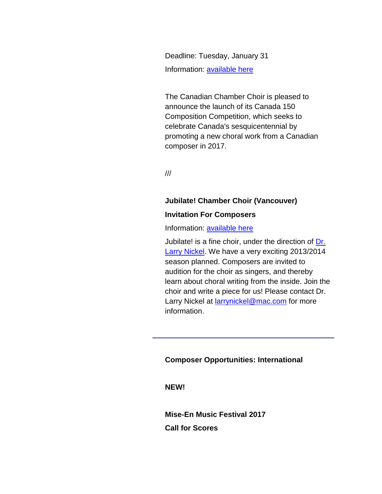Deadline: Tuesday, January 31 Information: [available here](http://r20.rs6.net/tn.jsp?f=001L32XprImvdnfra45lniewLmA0XCfxVxf2Z-w9zuRGH7Dyq74i1dyXg0S1Ye8gbyDLdW_WBjNLfyTbcVpcQ8iScEWtJaa7Ngd1felPXCbjaRHHDI8x-rb00z70njj-_qLjILFCcVGMDilVNMd-igcYVHDO4eUmAvzF263kYwh8IKEU0GKQBrHtn1MZOvqgJDKFxdazK5qES7_dfaRnoF0QTcnbIICtewBV-3pxxjwNWWynBtbyiXGV-AvCTmql8-STbDABK2xd1wg-ZVNptIqr-9eZ1xxNX62UGZ6uz8F-Nb8dAfCpHO-JgsHmGYImd4_d-ybNuVktIMUHtyMOmw7oS9tDT4-DdcKh9RVy7AW0eBO0zv4cacwr2nfx-D-GxUA4hb-ytBF2n4=&c=7_E537nQefR8JTczxirQIfrOHjhhfdCy3JaJJywrj8XAJuRbqbhEXw==&ch=6mJfS4g1m_wyEyyLXCyQfYRx51c28mjgwf4li_y51O6maLwHg17j-g==)

The Canadian Chamber Choir is pleased to announce the launch of its Canada 150 Composition Competition, which seeks to celebrate Canada's sesquicentennial by promoting a new choral work from a Canadian composer in 2017.

///

## **Jubilate! Chamber Choir (Vancouver)**

#### **Invitation For Composers**

Information: [available here](http://r20.rs6.net/tn.jsp?f=001L32XprImvdnfra45lniewLmA0XCfxVxf2Z-w9zuRGH7Dyq74i1dyXhCbFKt05UtxNMwjOBtRrmRIjnRB-1xEkp2jZs3saEzDn8K_WCEEgtUJA5AtV8m1FCUaUGnKqiJwveeJPQCE3DZ1S-d3z4aTn0aduhJ15kM8aa2FRGTRNM76geviUdU8hZOih02lfufXvVY-fLqdKyNrEOyggBS_CgI9mP8mYxxaiaeBCl5VSng_TWDURj5mXUYo58Yq3KvIFdp6PqXM4TjiRUrGL22-QJUogyo-YU_CaOAShEOvOqX9pnEwgE0VfLUNXUck3j3Cki3oD7PnSpQ=&c=7_E537nQefR8JTczxirQIfrOHjhhfdCy3JaJJywrj8XAJuRbqbhEXw==&ch=6mJfS4g1m_wyEyyLXCyQfYRx51c28mjgwf4li_y51O6maLwHg17j-g==)

Jubilate! is a fine choir, under the direction of [Dr.](http://r20.rs6.net/tn.jsp?f=001L32XprImvdnfra45lniewLmA0XCfxVxf2Z-w9zuRGH7Dyq74i1dyXhCbFKt05UtxVhfEuyAd-ywOmFlqXKYsv2WgaK2iYePBByEB3X9MUj4LbvQ7zkD-lVCSNLGUJt4O8wzclhsR5UPZdDMJg0idd41IcaXdduKwbIJbEVx1Gq9JUiR2HTJpQ6LCnoS_QV855592JPfF2cmvb1rNX3cwo7bH29T3ZkgO7UdpOceq6y5KQ6R8-IQ5z8wbew5XzfwpfrufXVwOr81_kWEgcKoEvXxm_TnkVLvvwraHebSrV5RKVEst0XogNO6WfFIQbNPsRD7pikg5UQc=&c=7_E537nQefR8JTczxirQIfrOHjhhfdCy3JaJJywrj8XAJuRbqbhEXw==&ch=6mJfS4g1m_wyEyyLXCyQfYRx51c28mjgwf4li_y51O6maLwHg17j-g==)  [Larry Nickel.](http://r20.rs6.net/tn.jsp?f=001L32XprImvdnfra45lniewLmA0XCfxVxf2Z-w9zuRGH7Dyq74i1dyXhCbFKt05UtxVhfEuyAd-ywOmFlqXKYsv2WgaK2iYePBByEB3X9MUj4LbvQ7zkD-lVCSNLGUJt4O8wzclhsR5UPZdDMJg0idd41IcaXdduKwbIJbEVx1Gq9JUiR2HTJpQ6LCnoS_QV855592JPfF2cmvb1rNX3cwo7bH29T3ZkgO7UdpOceq6y5KQ6R8-IQ5z8wbew5XzfwpfrufXVwOr81_kWEgcKoEvXxm_TnkVLvvwraHebSrV5RKVEst0XogNO6WfFIQbNPsRD7pikg5UQc=&c=7_E537nQefR8JTczxirQIfrOHjhhfdCy3JaJJywrj8XAJuRbqbhEXw==&ch=6mJfS4g1m_wyEyyLXCyQfYRx51c28mjgwf4li_y51O6maLwHg17j-g==) We have a very exciting 2013/2014 season planned. Composers are invited to audition for the choir as singers, and thereby learn about choral writing from the inside. Join the choir and write a piece for us! Please contact Dr. Larry Nickel at [larrynickel@mac.com](mailto:larrynickel@mac.com) for more information.

#### **Composer Opportunities: International**

**NEW!**

**Mise-En Music Festival 2017 Call for Scores**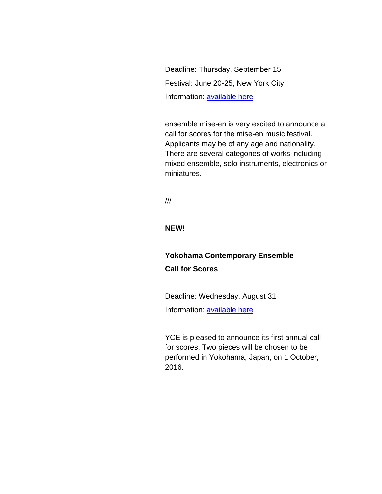Deadline: Thursday, September 15 Festival: June 20-25, New York City Information: [available here](http://r20.rs6.net/tn.jsp?f=001L32XprImvdnfra45lniewLmA0XCfxVxf2Z-w9zuRGH7Dyq74i1dyXqSe96LSY9L0ujp75FqItEu1l9nsc2xNK5Ph7Z-8aN_YCF31785jNWQje9nnrffSB4WDOQbetAVbdqQY7VQkfYY8BxMFUHC23GcpGuXF-y4iDNQDyxzGSohRwMkkcVJTbkMRHyiBzGRA86e3D3u8YVIPHiFW38BgAKMxxYekV5k3yjqBMQxkI3m8_kRK0WV0IfkulSiRpscLgZIZQU-Z0NFINJwpKdRsRuJtkCzXLjjh_jqAF1cxa8e7y0vOIzzcpA==&c=7_E537nQefR8JTczxirQIfrOHjhhfdCy3JaJJywrj8XAJuRbqbhEXw==&ch=6mJfS4g1m_wyEyyLXCyQfYRx51c28mjgwf4li_y51O6maLwHg17j-g==)

ensemble mise-en is very excited to announce a call for scores for the mise-en music festival. Applicants may be of any age and nationality. There are several categories of works including mixed ensemble, solo instruments, electronics or miniatures.

///

**NEW!**

## **Yokohama Contemporary Ensemble Call for Scores**

Deadline: Wednesday, August 31 Information: [available here](http://r20.rs6.net/tn.jsp?f=001L32XprImvdnfra45lniewLmA0XCfxVxf2Z-w9zuRGH7Dyq74i1dyXuu0Uk8ANJJcLRPFFTWXo_4ATvd59zU52tvOEAyjohgn4WfJWUA20z4dWfOJArjSGaUJAXxGe7--F929SC7dT7RCwU9Mi_r7e_nhQQXLBdfP_bHdFFV4f75HaKxFEQb5fHtTRreQr4MS9m8eCzziOuBzw7zuIwzOZ9l8K-afTtGZOUtHdLapp2HfSLl0aNMWPwKbqhiiVkMTEC0HY8m9cLl9i3LO9fi1QgXpsqdr7bF-hvXi-hX2QZ0Z-SmdzrOOfUYARwnR3v6e&c=7_E537nQefR8JTczxirQIfrOHjhhfdCy3JaJJywrj8XAJuRbqbhEXw==&ch=6mJfS4g1m_wyEyyLXCyQfYRx51c28mjgwf4li_y51O6maLwHg17j-g==)

YCE is pleased to announce its first annual call for scores. Two pieces will be chosen to be performed in Yokohama, Japan, on 1 October, 2016.